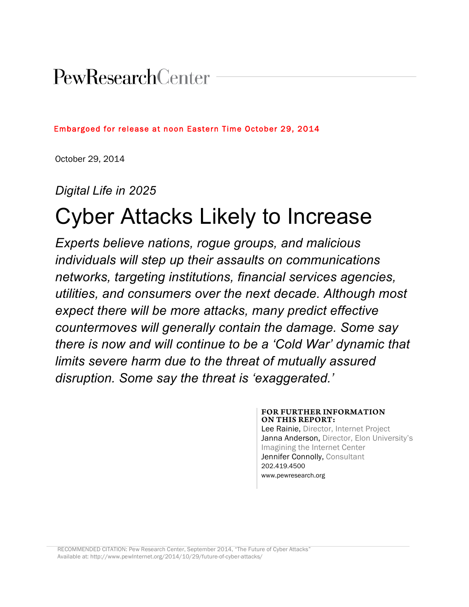# PewResearchCenter

Embargoed for release at noon Eastern Time October 29, 2014

October 29, 2014

*Digital Life in 2025*

# Cyber Attacks Likely to Increase

*Experts believe nations, rogue groups, and malicious individuals will step up their assaults on communications networks, targeting institutions, financial services agencies, utilities, and consumers over the next decade. Although most expect there will be more attacks, many predict effective countermoves will generally contain the damage. Some say there is now and will continue to be a 'Cold War' dynamic that limits severe harm due to the threat of mutually assured disruption. Some say the threat is 'exaggerated.'*

#### FOR FURTHER INFORMATION ON THIS REPORT:

Lee Rainie, Director, Internet Project Janna Anderson, Director, Elon University's Imagining the Internet Center Jennifer Connolly, Consultant 202.419.4500 www.pewresearch.org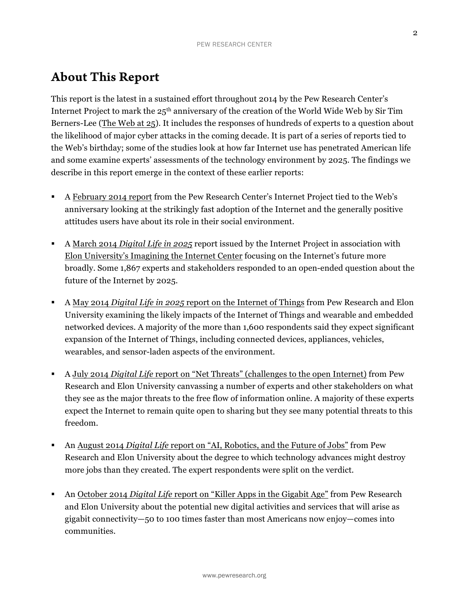# About This Report

This report is the latest in a sustained effort throughout 2014 by the Pew Research Center's Internet Project to mark the 25th anniversary of the creation of the World Wide Web by Sir Tim Berners-Lee (The Web at 25). It includes the responses of hundreds of experts to a question about the likelihood of major cyber attacks in the coming decade. It is part of a series of reports tied to the Web's birthday; some of the studies look at how far Internet use has penetrated American life and some examine experts' assessments of the technology environment by 2025. The findings we describe in this report emerge in the context of these earlier reports:

- A February 2014 report from the Pew Research Center's Internet Project tied to the Web's anniversary looking at the strikingly fast adoption of the Internet and the generally positive attitudes users have about its role in their social environment.
- A March 2014 *Digital Life in 2025* report issued by the Internet Project in association with Elon University's Imagining the Internet Center focusing on the Internet's future more broadly. Some 1,867 experts and stakeholders responded to an open-ended question about the future of the Internet by 2025.
- A May 2014 *Digital Life in 2025* report on the Internet of Things from Pew Research and Elon University examining the likely impacts of the Internet of Things and wearable and embedded networked devices. A majority of the more than 1,600 respondents said they expect significant expansion of the Internet of Things, including connected devices, appliances, vehicles, wearables, and sensor-laden aspects of the environment.
- A July 2014 *Digital Life* report on "Net Threats" (challenges to the open Internet) from Pew Research and Elon University canvassing a number of experts and other stakeholders on what they see as the major threats to the free flow of information online. A majority of these experts expect the Internet to remain quite open to sharing but they see many potential threats to this freedom.
- An August 2014 *Digital Life* report on "AI, Robotics, and the Future of Jobs" from Pew Research and Elon University about the degree to which technology advances might destroy more jobs than they created. The expert respondents were split on the verdict.
- An October 2014 *Digital Life* report on "Killer Apps in the Gigabit Age" from Pew Research and Elon University about the potential new digital activities and services that will arise as gigabit connectivity—50 to 100 times faster than most Americans now enjoy—comes into communities.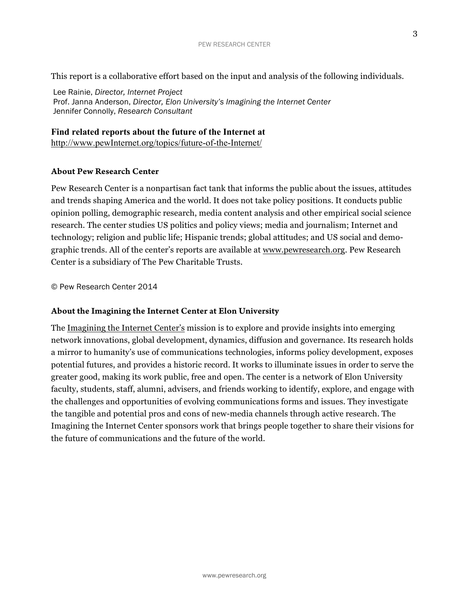This report is a collaborative effort based on the input and analysis of the following individuals.

Lee Rainie, *Director, Internet Project* Prof. Janna Anderson, *Director, Elon University's Imagining the Internet Center* Jennifer Connolly, *Research Consultant*

#### **Find related reports about the future of the Internet at**

http://www.pewInternet.org/topics/future-of-the-Internet/

### About Pew Research Center

Pew Research Center is a nonpartisan fact tank that informs the public about the issues, attitudes and trends shaping America and the world. It does not take policy positions. It conducts public opinion polling, demographic research, media content analysis and other empirical social science research. The center studies US politics and policy views; media and journalism; Internet and technology; religion and public life; Hispanic trends; global attitudes; and US social and demographic trends. All of the center's reports are available at www.pewresearch.org. Pew Research Center is a subsidiary of The Pew Charitable Trusts.

© Pew Research Center 2014

### About the Imagining the Internet Center at Elon University

The Imagining the Internet Center's mission is to explore and provide insights into emerging network innovations, global development, dynamics, diffusion and governance. Its research holds a mirror to humanity's use of communications technologies, informs policy development, exposes potential futures, and provides a historic record. It works to illuminate issues in order to serve the greater good, making its work public, free and open. The center is a network of Elon University faculty, students, staff, alumni, advisers, and friends working to identify, explore, and engage with the challenges and opportunities of evolving communications forms and issues. They investigate the tangible and potential pros and cons of new-media channels through active research. The Imagining the Internet Center sponsors work that brings people together to share their visions for the future of communications and the future of the world.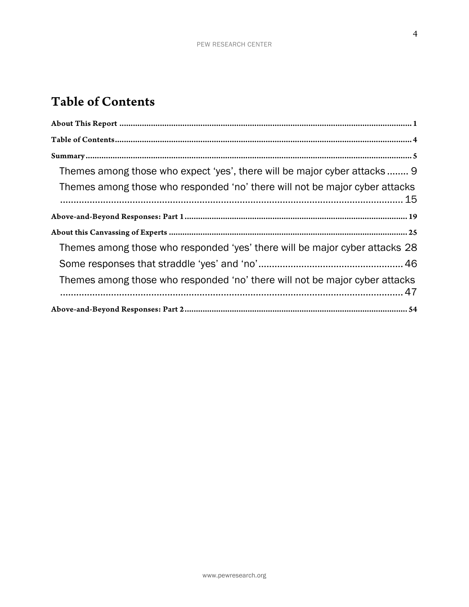# Table of Contents

| Themes among those who expect 'yes', there will be major cyber attacks 9    |
|-----------------------------------------------------------------------------|
| Themes among those who responded 'no' there will not be major cyber attacks |
|                                                                             |
|                                                                             |
| Themes among those who responded 'yes' there will be major cyber attacks 28 |
|                                                                             |
| Themes among those who responded 'no' there will not be major cyber attacks |
|                                                                             |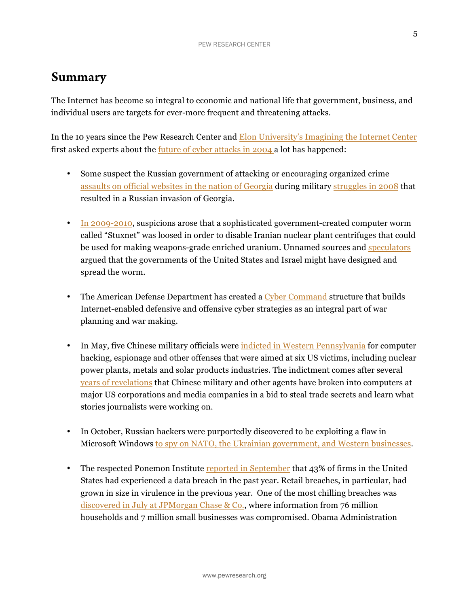# Summary

The Internet has become so integral to economic and national life that government, business, and individual users are targets for ever-more frequent and threatening attacks.

In the 10 years since the Pew Research Center and Elon University's Imagining the Internet Center first asked experts about the future of cyber attacks in 2004 a lot has happened:

- Some suspect the Russian government of attacking or encouraging organized crime assaults on official websites in the nation of Georgia during military struggles in 2008 that resulted in a Russian invasion of Georgia.
- In 2009-2010, suspicions arose that a sophisticated government-created computer worm called "Stuxnet" was loosed in order to disable Iranian nuclear plant centrifuges that could be used for making weapons-grade enriched uranium. Unnamed sources and speculators argued that the governments of the United States and Israel might have designed and spread the worm.
- The American Defense Department has created a Cyber Command structure that builds Internet-enabled defensive and offensive cyber strategies as an integral part of war planning and war making.
- In May, five Chinese military officials were indicted in Western Pennsylvania for computer hacking, espionage and other offenses that were aimed at six US victims, including nuclear power plants, metals and solar products industries. The indictment comes after several years of revelations that Chinese military and other agents have broken into computers at major US corporations and media companies in a bid to steal trade secrets and learn what stories journalists were working on.
- In October, Russian hackers were purportedly discovered to be exploiting a flaw in Microsoft Windows to spy on NATO, the Ukrainian government, and Western businesses.
- The respected Ponemon Institute reported in September that 43% of firms in the United States had experienced a data breach in the past year. Retail breaches, in particular, had grown in size in virulence in the previous year. One of the most chilling breaches was discovered in July at JPMorgan Chase & Co., where information from 76 million households and 7 million small businesses was compromised. Obama Administration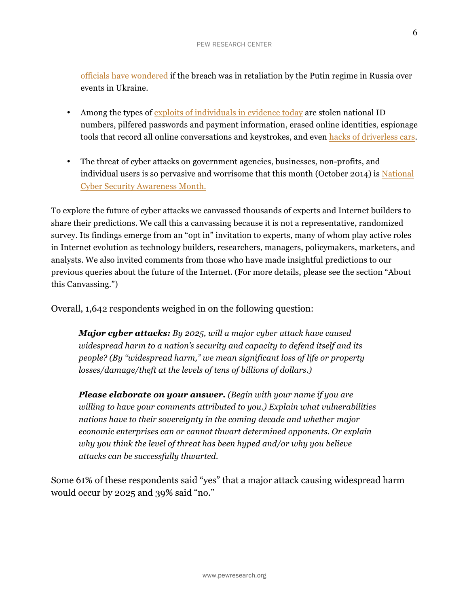officials have wondered if the breach was in retaliation by the Putin regime in Russia over events in Ukraine.

- Among the types of exploits of individuals in evidence today are stolen national ID numbers, pilfered passwords and payment information, erased online identities, espionage tools that record all online conversations and keystrokes, and even hacks of driverless cars.
- The threat of cyber attacks on government agencies, businesses, non-profits, and individual users is so pervasive and worrisome that this month (October 2014) is National Cyber Security Awareness Month.

To explore the future of cyber attacks we canvassed thousands of experts and Internet builders to share their predictions. We call this a canvassing because it is not a representative, randomized survey. Its findings emerge from an "opt in" invitation to experts, many of whom play active roles in Internet evolution as technology builders, researchers, managers, policymakers, marketers, and analysts. We also invited comments from those who have made insightful predictions to our previous queries about the future of the Internet. (For more details, please see the section "About this Canvassing.")

Overall, 1,642 respondents weighed in on the following question:

*Major cyber attacks: By 2025, will a major cyber attack have caused widespread harm to a nation's security and capacity to defend itself and its people? (By "widespread harm," we mean significant loss of life or property losses/damage/theft at the levels of tens of billions of dollars.)* 

*Please elaborate on your answer. (Begin with your name if you are willing to have your comments attributed to you.) Explain what vulnerabilities nations have to their sovereignty in the coming decade and whether major economic enterprises can or cannot thwart determined opponents. Or explain why you think the level of threat has been hyped and/or why you believe attacks can be successfully thwarted.* 

Some 61% of these respondents said "yes" that a major attack causing widespread harm would occur by 2025 and 39% said "no."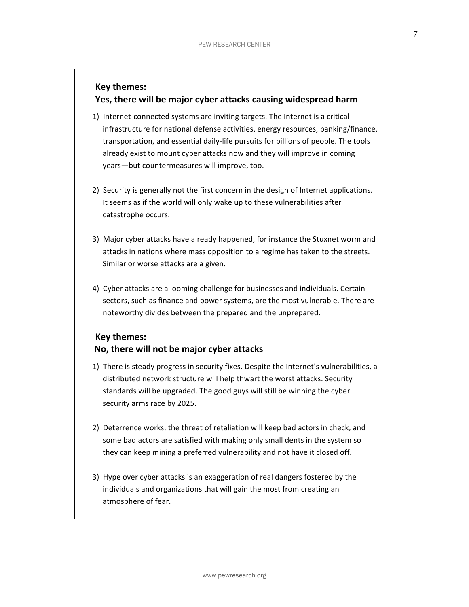#### **Key themes:**

#### **Yes, there will be major cyber attacks causing widespread harm**

- 1) Internet-connected systems are inviting targets. The Internet is a critical infrastructure for national defense activities, energy resources, banking/finance, transportation, and essential daily-life pursuits for billions of people. The tools already exist to mount cyber attacks now and they will improve in coming years-but countermeasures will improve, too.
- 2) Security is generally not the first concern in the design of Internet applications. It seems as if the world will only wake up to these vulnerabilities after catastrophe occurs.
- 3) Major cyber attacks have already happened, for instance the Stuxnet worm and attacks in nations where mass opposition to a regime has taken to the streets. Similar or worse attacks are a given.
- 4) Cyber attacks are a looming challenge for businesses and individuals. Certain sectors, such as finance and power systems, are the most vulnerable. There are noteworthy divides between the prepared and the unprepared.

#### **Key themes:**

#### **No, there will not be major cyber attacks**

- 1) There is steady progress in security fixes. Despite the Internet's vulnerabilities, a distributed network structure will help thwart the worst attacks. Security standards will be upgraded. The good guys will still be winning the cyber security arms race by 2025.
- 2) Deterrence works, the threat of retaliation will keep bad actors in check, and some bad actors are satisfied with making only small dents in the system so they can keep mining a preferred vulnerability and not have it closed off.
- 3) Hype over cyber attacks is an exaggeration of real dangers fostered by the individuals and organizations that will gain the most from creating an atmosphere of fear.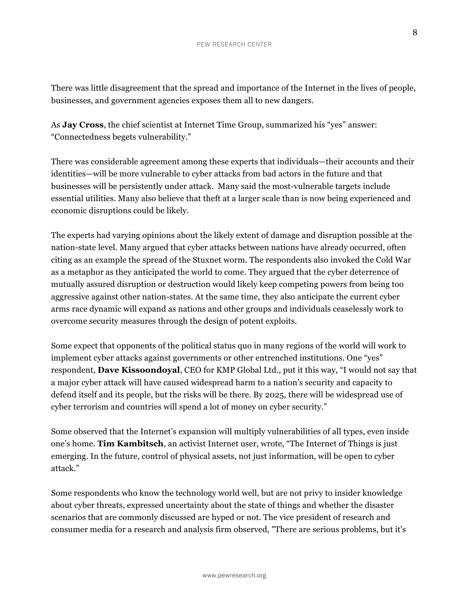There was little disagreement that the spread and importance of the Internet in the lives of people, businesses, and government agencies exposes them all to new dangers.

As **Jay Cross**, the chief scientist at Internet Time Group, summarized his "yes" answer: "Connectedness begets vulnerability."

There was considerable agreement among these experts that individuals—their accounts and their identities—will be more vulnerable to cyber attacks from bad actors in the future and that businesses will be persistently under attack. Many said the most-vulnerable targets include essential utilities. Many also believe that theft at a larger scale than is now being experienced and economic disruptions could be likely.

The experts had varying opinions about the likely extent of damage and disruption possible at the nation-state level. Many argued that cyber attacks between nations have already occurred, often citing as an example the spread of the Stuxnet worm. The respondents also invoked the Cold War as a metaphor as they anticipated the world to come. They argued that the cyber deterrence of mutually assured disruption or destruction would likely keep competing powers from being too aggressive against other nation-states. At the same time, they also anticipate the current cyber arms race dynamic will expand as nations and other groups and individuals ceaselessly work to overcome security measures through the design of potent exploits.

Some expect that opponents of the political status quo in many regions of the world will work to implement cyber attacks against governments or other entrenched institutions. One "yes" respondent, **Dave Kissoondoyal**, CEO for KMP Global Ltd., put it this way, "I would not say that a major cyber attack will have caused widespread harm to a nation's security and capacity to defend itself and its people, but the risks will be there. By 2025, there will be widespread use of cyber terrorism and countries will spend a lot of money on cyber security."

Some observed that the Internet's expansion will multiply vulnerabilities of all types, even inside one's home. **Tim Kambitsch**, an activist Internet user, wrote, "The Internet of Things is just emerging. In the future, control of physical assets, not just information, will be open to cyber attack."

Some respondents who know the technology world well, but are not privy to insider knowledge about cyber threats, expressed uncertainty about the state of things and whether the disaster scenarios that are commonly discussed are hyped or not. The vice president of research and consumer media for a research and analysis firm observed, "There are serious problems, but it's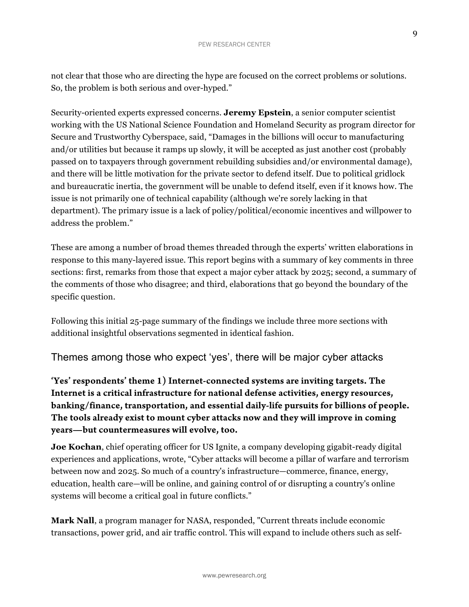not clear that those who are directing the hype are focused on the correct problems or solutions. So, the problem is both serious and over-hyped."

Security-oriented experts expressed concerns. **Jeremy Epstein**, a senior computer scientist working with the US National Science Foundation and Homeland Security as program director for Secure and Trustworthy Cyberspace, said, "Damages in the billions will occur to manufacturing and/or utilities but because it ramps up slowly, it will be accepted as just another cost (probably passed on to taxpayers through government rebuilding subsidies and/or environmental damage), and there will be little motivation for the private sector to defend itself. Due to political gridlock and bureaucratic inertia, the government will be unable to defend itself, even if it knows how. The issue is not primarily one of technical capability (although we're sorely lacking in that department). The primary issue is a lack of policy/political/economic incentives and willpower to address the problem."

These are among a number of broad themes threaded through the experts' written elaborations in response to this many-layered issue. This report begins with a summary of key comments in three sections: first, remarks from those that expect a major cyber attack by 2025; second, a summary of the comments of those who disagree; and third, elaborations that go beyond the boundary of the specific question.

Following this initial 25-page summary of the findings we include three more sections with additional insightful observations segmented in identical fashion.

Themes among those who expect 'yes', there will be major cyber attacks

'Yes' respondents' theme 1) Internet-connected systems are inviting targets. The Internet is a critical infrastructure for national defense activities, energy resources, banking/finance, transportation, and essential daily-life pursuits for billions of people. The tools already exist to mount cyber attacks now and they will improve in coming years—but countermeasures will evolve, too.

**Joe Kochan**, chief operating officer for US Ignite, a company developing gigabit-ready digital experiences and applications, wrote, "Cyber attacks will become a pillar of warfare and terrorism between now and 2025. So much of a country's infrastructure—commerce, finance, energy, education, health care—will be online, and gaining control of or disrupting a country's online systems will become a critical goal in future conflicts."

**Mark Nall**, a program manager for NASA, responded, "Current threats include economic transactions, power grid, and air traffic control. This will expand to include others such as self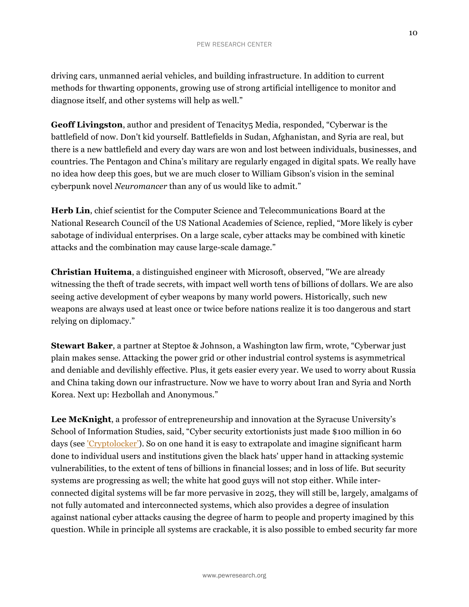driving cars, unmanned aerial vehicles, and building infrastructure. In addition to current methods for thwarting opponents, growing use of strong artificial intelligence to monitor and diagnose itself, and other systems will help as well."

**Geoff Livingston**, author and president of Tenacity5 Media, responded, "Cyberwar is the battlefield of now. Don't kid yourself. Battlefields in Sudan, Afghanistan, and Syria are real, but there is a new battlefield and every day wars are won and lost between individuals, businesses, and countries. The Pentagon and China's military are regularly engaged in digital spats. We really have no idea how deep this goes, but we are much closer to William Gibson's vision in the seminal cyberpunk novel *Neuromancer* than any of us would like to admit."

**Herb Lin**, chief scientist for the Computer Science and Telecommunications Board at the National Research Council of the US National Academies of Science, replied, "More likely is cyber sabotage of individual enterprises. On a large scale, cyber attacks may be combined with kinetic attacks and the combination may cause large-scale damage."

**Christian Huitema**, a distinguished engineer with Microsoft, observed, "We are already witnessing the theft of trade secrets, with impact well worth tens of billions of dollars. We are also seeing active development of cyber weapons by many world powers. Historically, such new weapons are always used at least once or twice before nations realize it is too dangerous and start relying on diplomacy."

**Stewart Baker**, a partner at Steptoe & Johnson, a Washington law firm, wrote, "Cyberwar just plain makes sense. Attacking the power grid or other industrial control systems is asymmetrical and deniable and devilishly effective. Plus, it gets easier every year. We used to worry about Russia and China taking down our infrastructure. Now we have to worry about Iran and Syria and North Korea. Next up: Hezbollah and Anonymous."

**Lee McKnight**, a professor of entrepreneurship and innovation at the Syracuse University's School of Information Studies, said, "Cyber security extortionists just made \$100 million in 60 days (see 'Cryptolocker'). So on one hand it is easy to extrapolate and imagine significant harm done to individual users and institutions given the black hats' upper hand in attacking systemic vulnerabilities, to the extent of tens of billions in financial losses; and in loss of life. But security systems are progressing as well; the white hat good guys will not stop either. While interconnected digital systems will be far more pervasive in 2025, they will still be, largely, amalgams of not fully automated and interconnected systems, which also provides a degree of insulation against national cyber attacks causing the degree of harm to people and property imagined by this question. While in principle all systems are crackable, it is also possible to embed security far more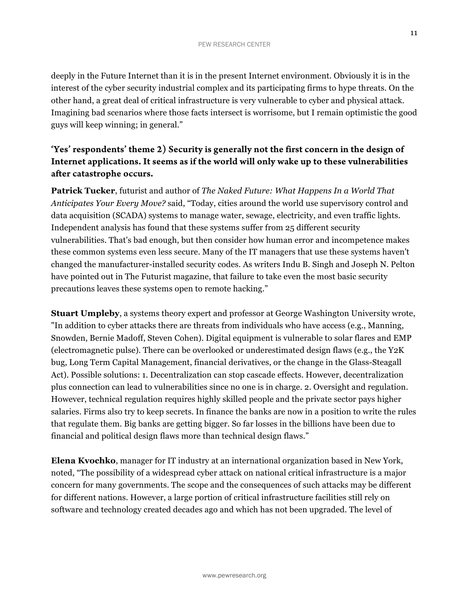deeply in the Future Internet than it is in the present Internet environment. Obviously it is in the interest of the cyber security industrial complex and its participating firms to hype threats. On the other hand, a great deal of critical infrastructure is very vulnerable to cyber and physical attack. Imagining bad scenarios where those facts intersect is worrisome, but I remain optimistic the good guys will keep winning; in general."

PEW RESEARCH CENTER

### 'Yes' respondents' theme 2) Security is generally not the first concern in the design of Internet applications. It seems as if the world will only wake up to these vulnerabilities after catastrophe occurs.

**Patrick Tucker**, futurist and author of *The Naked Future: What Happens In a World That Anticipates Your Every Move?* said, "Today, cities around the world use supervisory control and data acquisition (SCADA) systems to manage water, sewage, electricity, and even traffic lights. Independent analysis has found that these systems suffer from 25 different security vulnerabilities. That's bad enough, but then consider how human error and incompetence makes these common systems even less secure. Many of the IT managers that use these systems haven't changed the manufacturer-installed security codes. As writers Indu B. Singh and Joseph N. Pelton have pointed out in The Futurist magazine, that failure to take even the most basic security precautions leaves these systems open to remote hacking."

**Stuart Umpleby**, a systems theory expert and professor at George Washington University wrote, "In addition to cyber attacks there are threats from individuals who have access (e.g., Manning, Snowden, Bernie Madoff, Steven Cohen). Digital equipment is vulnerable to solar flares and EMP (electromagnetic pulse). There can be overlooked or underestimated design flaws (e.g., the Y2K bug, Long Term Capital Management, financial derivatives, or the change in the Glass-Steagall Act). Possible solutions: 1. Decentralization can stop cascade effects. However, decentralization plus connection can lead to vulnerabilities since no one is in charge. 2. Oversight and regulation. However, technical regulation requires highly skilled people and the private sector pays higher salaries. Firms also try to keep secrets. In finance the banks are now in a position to write the rules that regulate them. Big banks are getting bigger. So far losses in the billions have been due to financial and political design flaws more than technical design flaws."

**Elena Kvochko**, manager for IT industry at an international organization based in New York, noted, "The possibility of a widespread cyber attack on national critical infrastructure is a major concern for many governments. The scope and the consequences of such attacks may be different for different nations. However, a large portion of critical infrastructure facilities still rely on software and technology created decades ago and which has not been upgraded. The level of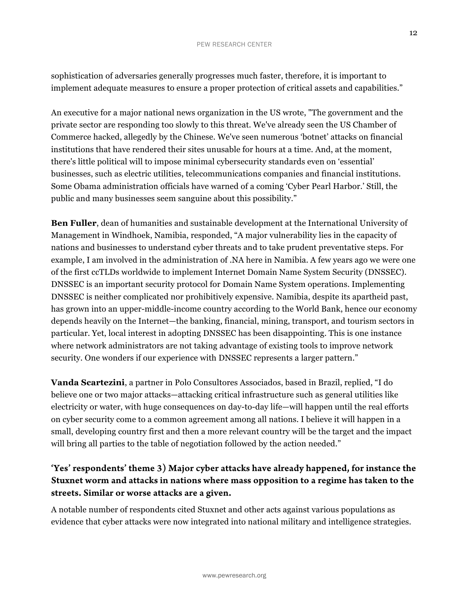sophistication of adversaries generally progresses much faster, therefore, it is important to implement adequate measures to ensure a proper protection of critical assets and capabilities."

An executive for a major national news organization in the US wrote, "The government and the private sector are responding too slowly to this threat. We've already seen the US Chamber of Commerce hacked, allegedly by the Chinese. We've seen numerous 'botnet' attacks on financial institutions that have rendered their sites unusable for hours at a time. And, at the moment, there's little political will to impose minimal cybersecurity standards even on 'essential' businesses, such as electric utilities, telecommunications companies and financial institutions. Some Obama administration officials have warned of a coming 'Cyber Pearl Harbor.' Still, the public and many businesses seem sanguine about this possibility."

**Ben Fuller**, dean of humanities and sustainable development at the International University of Management in Windhoek, Namibia, responded, "A major vulnerability lies in the capacity of nations and businesses to understand cyber threats and to take prudent preventative steps. For example, I am involved in the administration of .NA here in Namibia. A few years ago we were one of the first ccTLDs worldwide to implement Internet Domain Name System Security (DNSSEC). DNSSEC is an important security protocol for Domain Name System operations. Implementing DNSSEC is neither complicated nor prohibitively expensive. Namibia, despite its apartheid past, has grown into an upper-middle-income country according to the World Bank, hence our economy depends heavily on the Internet—the banking, financial, mining, transport, and tourism sectors in particular. Yet, local interest in adopting DNSSEC has been disappointing. This is one instance where network administrators are not taking advantage of existing tools to improve network security. One wonders if our experience with DNSSEC represents a larger pattern."

**Vanda Scartezini**, a partner in Polo Consultores Associados, based in Brazil, replied, "I do believe one or two major attacks—attacking critical infrastructure such as general utilities like electricity or water, with huge consequences on day-to-day life—will happen until the real efforts on cyber security come to a common agreement among all nations. I believe it will happen in a small, developing country first and then a more relevant country will be the target and the impact will bring all parties to the table of negotiation followed by the action needed."

# 'Yes' respondents' theme 3) Major cyber attacks have already happened, for instance the Stuxnet worm and attacks in nations where mass opposition to a regime has taken to the streets. Similar or worse attacks are a given.

A notable number of respondents cited Stuxnet and other acts against various populations as evidence that cyber attacks were now integrated into national military and intelligence strategies.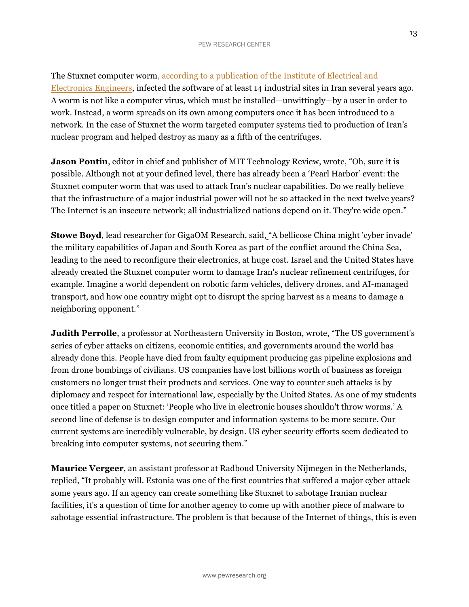The Stuxnet computer worm, according to a publication of the Institute of Electrical and Electronics Engineers, infected the software of at least 14 industrial sites in Iran several years ago. A worm is not like a computer virus, which must be installed—unwittingly—by a user in order to work. Instead, a worm spreads on its own among computers once it has been introduced to a network. In the case of Stuxnet the worm targeted computer systems tied to production of Iran's nuclear program and helped destroy as many as a fifth of the centrifuges.

**Jason Pontin**, editor in chief and publisher of MIT Technology Review, wrote, "Oh, sure it is possible. Although not at your defined level, there has already been a 'Pearl Harbor' event: the Stuxnet computer worm that was used to attack Iran's nuclear capabilities. Do we really believe that the infrastructure of a major industrial power will not be so attacked in the next twelve years? The Internet is an insecure network; all industrialized nations depend on it. They're wide open."

**Stowe Boyd**, lead researcher for GigaOM Research, said, "A bellicose China might 'cyber invade' the military capabilities of Japan and South Korea as part of the conflict around the China Sea, leading to the need to reconfigure their electronics, at huge cost. Israel and the United States have already created the Stuxnet computer worm to damage Iran's nuclear refinement centrifuges, for example. Imagine a world dependent on robotic farm vehicles, delivery drones, and AI-managed transport, and how one country might opt to disrupt the spring harvest as a means to damage a neighboring opponent."

**Judith Perrolle**, a professor at Northeastern University in Boston, wrote, "The US government's series of cyber attacks on citizens, economic entities, and governments around the world has already done this. People have died from faulty equipment producing gas pipeline explosions and from drone bombings of civilians. US companies have lost billions worth of business as foreign customers no longer trust their products and services. One way to counter such attacks is by diplomacy and respect for international law, especially by the United States. As one of my students once titled a paper on Stuxnet: 'People who live in electronic houses shouldn't throw worms.' A second line of defense is to design computer and information systems to be more secure. Our current systems are incredibly vulnerable, by design. US cyber security efforts seem dedicated to breaking into computer systems, not securing them."

**Maurice Vergeer**, an assistant professor at Radboud University Nijmegen in the Netherlands, replied, "It probably will. Estonia was one of the first countries that suffered a major cyber attack some years ago. If an agency can create something like Stuxnet to sabotage Iranian nuclear facilities, it's a question of time for another agency to come up with another piece of malware to sabotage essential infrastructure. The problem is that because of the Internet of things, this is even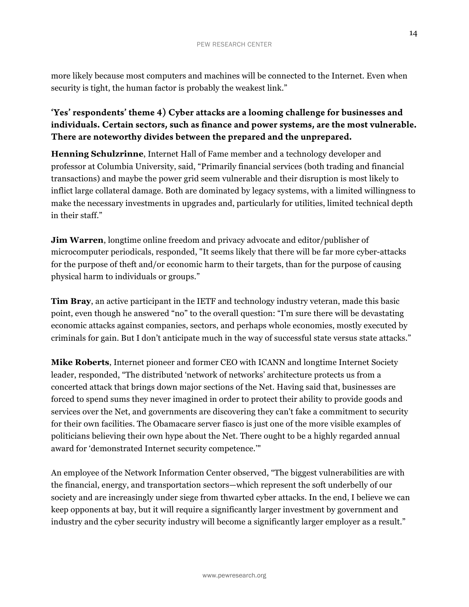more likely because most computers and machines will be connected to the Internet. Even when security is tight, the human factor is probably the weakest link."

# 'Yes' respondents' theme 4) Cyber attacks are a looming challenge for businesses and individuals. Certain sectors, such as finance and power systems, are the most vulnerable. There are noteworthy divides between the prepared and the unprepared.

**Henning Schulzrinne**, Internet Hall of Fame member and a technology developer and professor at Columbia University, said, "Primarily financial services (both trading and financial transactions) and maybe the power grid seem vulnerable and their disruption is most likely to inflict large collateral damage. Both are dominated by legacy systems, with a limited willingness to make the necessary investments in upgrades and, particularly for utilities, limited technical depth in their staff."

**Jim Warren**, longtime online freedom and privacy advocate and editor/publisher of microcomputer periodicals, responded, "It seems likely that there will be far more cyber-attacks for the purpose of theft and/or economic harm to their targets, than for the purpose of causing physical harm to individuals or groups."

**Tim Bray**, an active participant in the IETF and technology industry veteran, made this basic point, even though he answered "no" to the overall question: "I'm sure there will be devastating economic attacks against companies, sectors, and perhaps whole economies, mostly executed by criminals for gain. But I don't anticipate much in the way of successful state versus state attacks."

**Mike Roberts**, Internet pioneer and former CEO with ICANN and longtime Internet Society leader, responded, "The distributed 'network of networks' architecture protects us from a concerted attack that brings down major sections of the Net. Having said that, businesses are forced to spend sums they never imagined in order to protect their ability to provide goods and services over the Net, and governments are discovering they can't fake a commitment to security for their own facilities. The Obamacare server fiasco is just one of the more visible examples of politicians believing their own hype about the Net. There ought to be a highly regarded annual award for 'demonstrated Internet security competence.'"

An employee of the Network Information Center observed, "The biggest vulnerabilities are with the financial, energy, and transportation sectors—which represent the soft underbelly of our society and are increasingly under siege from thwarted cyber attacks. In the end, I believe we can keep opponents at bay, but it will require a significantly larger investment by government and industry and the cyber security industry will become a significantly larger employer as a result."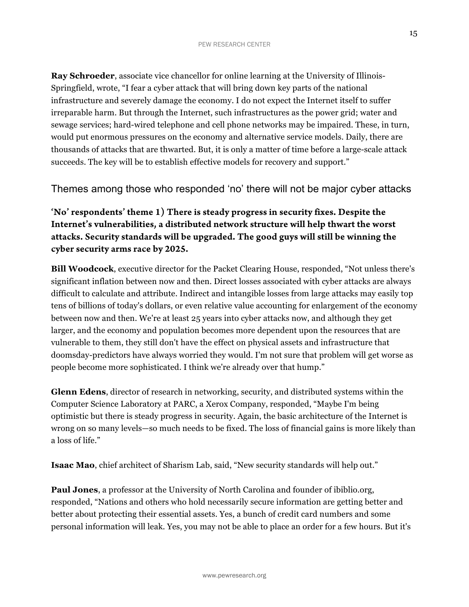**Ray Schroeder**, associate vice chancellor for online learning at the University of Illinois-Springfield, wrote, "I fear a cyber attack that will bring down key parts of the national infrastructure and severely damage the economy. I do not expect the Internet itself to suffer irreparable harm. But through the Internet, such infrastructures as the power grid; water and sewage services; hard-wired telephone and cell phone networks may be impaired. These, in turn, would put enormous pressures on the economy and alternative service models. Daily, there are thousands of attacks that are thwarted. But, it is only a matter of time before a large-scale attack succeeds. The key will be to establish effective models for recovery and support."

Themes among those who responded 'no' there will not be major cyber attacks

'No' respondents' theme 1) There is steady progress in security fixes. Despite the Internet's vulnerabilities, a distributed network structure will help thwart the worst attacks. Security standards will be upgraded. The good guys will still be winning the cyber security arms race by 2025.

**Bill Woodcock**, executive director for the Packet Clearing House, responded, "Not unless there's significant inflation between now and then. Direct losses associated with cyber attacks are always difficult to calculate and attribute. Indirect and intangible losses from large attacks may easily top tens of billions of today's dollars, or even relative value accounting for enlargement of the economy between now and then. We're at least 25 years into cyber attacks now, and although they get larger, and the economy and population becomes more dependent upon the resources that are vulnerable to them, they still don't have the effect on physical assets and infrastructure that doomsday-predictors have always worried they would. I'm not sure that problem will get worse as people become more sophisticated. I think we're already over that hump."

**Glenn Edens**, director of research in networking, security, and distributed systems within the Computer Science Laboratory at PARC, a Xerox Company, responded, "Maybe I'm being optimistic but there is steady progress in security. Again, the basic architecture of the Internet is wrong on so many levels—so much needs to be fixed. The loss of financial gains is more likely than a loss of life."

**Isaac Mao**, chief architect of Sharism Lab, said, "New security standards will help out."

**Paul Jones**, a professor at the University of North Carolina and founder of ibiblio.org, responded, "Nations and others who hold necessarily secure information are getting better and better about protecting their essential assets. Yes, a bunch of credit card numbers and some personal information will leak. Yes, you may not be able to place an order for a few hours. But it's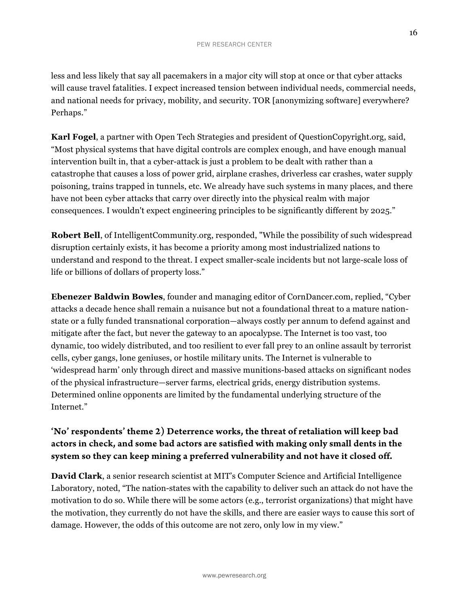less and less likely that say all pacemakers in a major city will stop at once or that cyber attacks will cause travel fatalities. I expect increased tension between individual needs, commercial needs, and national needs for privacy, mobility, and security. TOR [anonymizing software] everywhere? Perhaps."

**Karl Fogel**, a partner with Open Tech Strategies and president of QuestionCopyright.org, said, "Most physical systems that have digital controls are complex enough, and have enough manual intervention built in, that a cyber-attack is just a problem to be dealt with rather than a catastrophe that causes a loss of power grid, airplane crashes, driverless car crashes, water supply poisoning, trains trapped in tunnels, etc. We already have such systems in many places, and there have not been cyber attacks that carry over directly into the physical realm with major consequences. I wouldn't expect engineering principles to be significantly different by 2025."

**Robert Bell**, of IntelligentCommunity.org, responded, "While the possibility of such widespread disruption certainly exists, it has become a priority among most industrialized nations to understand and respond to the threat. I expect smaller-scale incidents but not large-scale loss of life or billions of dollars of property loss."

**Ebenezer Baldwin Bowles**, founder and managing editor of CornDancer.com, replied, "Cyber attacks a decade hence shall remain a nuisance but not a foundational threat to a mature nationstate or a fully funded transnational corporation—always costly per annum to defend against and mitigate after the fact, but never the gateway to an apocalypse. The Internet is too vast, too dynamic, too widely distributed, and too resilient to ever fall prey to an online assault by terrorist cells, cyber gangs, lone geniuses, or hostile military units. The Internet is vulnerable to 'widespread harm' only through direct and massive munitions-based attacks on significant nodes of the physical infrastructure—server farms, electrical grids, energy distribution systems. Determined online opponents are limited by the fundamental underlying structure of the Internet."

# 'No' respondents' theme 2) Deterrence works, the threat of retaliation will keep bad actors in check, and some bad actors are satisfied with making only small dents in the system so they can keep mining a preferred vulnerability and not have it closed off.

**David Clark**, a senior research scientist at MIT's Computer Science and Artificial Intelligence Laboratory, noted, "The nation-states with the capability to deliver such an attack do not have the motivation to do so. While there will be some actors (e.g., terrorist organizations) that might have the motivation, they currently do not have the skills, and there are easier ways to cause this sort of damage. However, the odds of this outcome are not zero, only low in my view."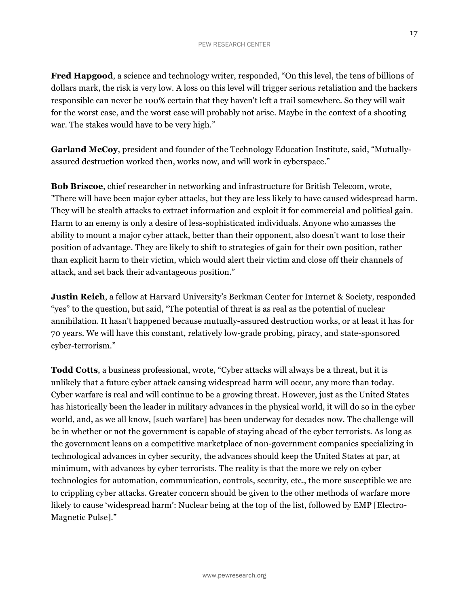**Fred Hapgood**, a science and technology writer, responded, "On this level, the tens of billions of dollars mark, the risk is very low. A loss on this level will trigger serious retaliation and the hackers responsible can never be 100% certain that they haven't left a trail somewhere. So they will wait for the worst case, and the worst case will probably not arise. Maybe in the context of a shooting war. The stakes would have to be very high."

**Garland McCoy**, president and founder of the Technology Education Institute, said, "Mutuallyassured destruction worked then, works now, and will work in cyberspace."

**Bob Briscoe**, chief researcher in networking and infrastructure for British Telecom, wrote, "There will have been major cyber attacks, but they are less likely to have caused widespread harm. They will be stealth attacks to extract information and exploit it for commercial and political gain. Harm to an enemy is only a desire of less-sophisticated individuals. Anyone who amasses the ability to mount a major cyber attack, better than their opponent, also doesn't want to lose their position of advantage. They are likely to shift to strategies of gain for their own position, rather than explicit harm to their victim, which would alert their victim and close off their channels of attack, and set back their advantageous position."

**Justin Reich**, a fellow at Harvard University's Berkman Center for Internet & Society, responded "yes" to the question, but said, "The potential of threat is as real as the potential of nuclear annihilation. It hasn't happened because mutually-assured destruction works, or at least it has for 70 years. We will have this constant, relatively low-grade probing, piracy, and state-sponsored cyber-terrorism."

**Todd Cotts**, a business professional, wrote, "Cyber attacks will always be a threat, but it is unlikely that a future cyber attack causing widespread harm will occur, any more than today. Cyber warfare is real and will continue to be a growing threat. However, just as the United States has historically been the leader in military advances in the physical world, it will do so in the cyber world, and, as we all know, [such warfare] has been underway for decades now. The challenge will be in whether or not the government is capable of staying ahead of the cyber terrorists. As long as the government leans on a competitive marketplace of non-government companies specializing in technological advances in cyber security, the advances should keep the United States at par, at minimum, with advances by cyber terrorists. The reality is that the more we rely on cyber technologies for automation, communication, controls, security, etc., the more susceptible we are to crippling cyber attacks. Greater concern should be given to the other methods of warfare more likely to cause 'widespread harm': Nuclear being at the top of the list, followed by EMP [Electro-Magnetic Pulse]."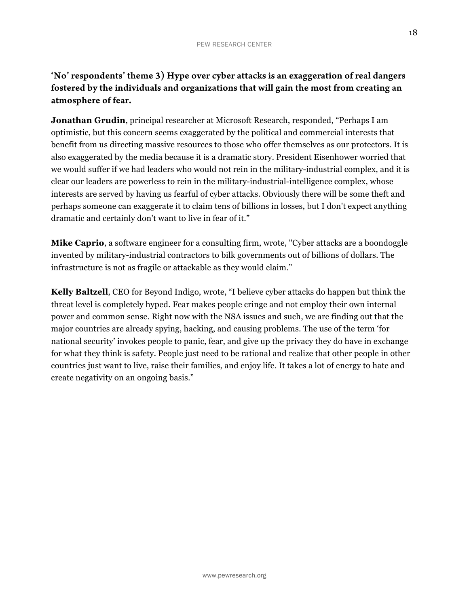# 'No' respondents' theme 3) Hype over cyber attacks is an exaggeration of real dangers fostered by the individuals and organizations that will gain the most from creating an atmosphere of fear.

**Jonathan Grudin**, principal researcher at Microsoft Research, responded, "Perhaps I am optimistic, but this concern seems exaggerated by the political and commercial interests that benefit from us directing massive resources to those who offer themselves as our protectors. It is also exaggerated by the media because it is a dramatic story. President Eisenhower worried that we would suffer if we had leaders who would not rein in the military-industrial complex, and it is clear our leaders are powerless to rein in the military-industrial-intelligence complex, whose interests are served by having us fearful of cyber attacks. Obviously there will be some theft and perhaps someone can exaggerate it to claim tens of billions in losses, but I don't expect anything dramatic and certainly don't want to live in fear of it."

**Mike Caprio**, a software engineer for a consulting firm, wrote, "Cyber attacks are a boondoggle invented by military-industrial contractors to bilk governments out of billions of dollars. The infrastructure is not as fragile or attackable as they would claim."

**Kelly Baltzell**, CEO for Beyond Indigo, wrote, "I believe cyber attacks do happen but think the threat level is completely hyped. Fear makes people cringe and not employ their own internal power and common sense. Right now with the NSA issues and such, we are finding out that the major countries are already spying, hacking, and causing problems. The use of the term 'for national security' invokes people to panic, fear, and give up the privacy they do have in exchange for what they think is safety. People just need to be rational and realize that other people in other countries just want to live, raise their families, and enjoy life. It takes a lot of energy to hate and create negativity on an ongoing basis."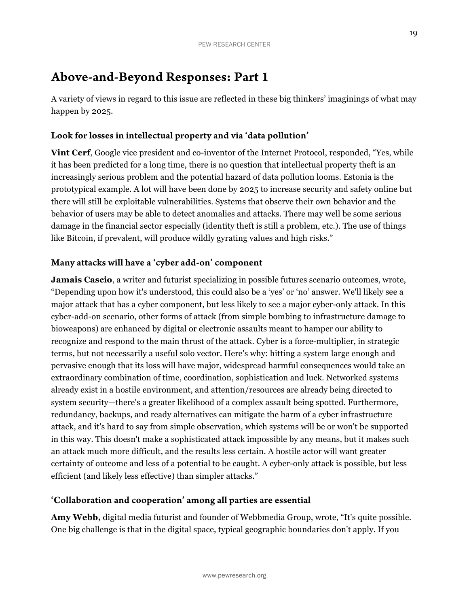# Above-and-Beyond Responses: Part 1

A variety of views in regard to this issue are reflected in these big thinkers' imaginings of what may happen by 2025.

### Look for losses in intellectual property and via 'data pollution'

**Vint Cerf**, Google vice president and co-inventor of the Internet Protocol, responded, "Yes, while it has been predicted for a long time, there is no question that intellectual property theft is an increasingly serious problem and the potential hazard of data pollution looms. Estonia is the prototypical example. A lot will have been done by 2025 to increase security and safety online but there will still be exploitable vulnerabilities. Systems that observe their own behavior and the behavior of users may be able to detect anomalies and attacks. There may well be some serious damage in the financial sector especially (identity theft is still a problem, etc.). The use of things like Bitcoin, if prevalent, will produce wildly gyrating values and high risks."

### Many attacks will have a 'cyber add-on' component

**Jamais Cascio**, a writer and futurist specializing in possible futures scenario outcomes, wrote, "Depending upon how it's understood, this could also be a 'yes' or 'no' answer. We'll likely see a major attack that has a cyber component, but less likely to see a major cyber-only attack. In this cyber-add-on scenario, other forms of attack (from simple bombing to infrastructure damage to bioweapons) are enhanced by digital or electronic assaults meant to hamper our ability to recognize and respond to the main thrust of the attack. Cyber is a force-multiplier, in strategic terms, but not necessarily a useful solo vector. Here's why: hitting a system large enough and pervasive enough that its loss will have major, widespread harmful consequences would take an extraordinary combination of time, coordination, sophistication and luck. Networked systems already exist in a hostile environment, and attention/resources are already being directed to system security—there's a greater likelihood of a complex assault being spotted. Furthermore, redundancy, backups, and ready alternatives can mitigate the harm of a cyber infrastructure attack, and it's hard to say from simple observation, which systems will be or won't be supported in this way. This doesn't make a sophisticated attack impossible by any means, but it makes such an attack much more difficult, and the results less certain. A hostile actor will want greater certainty of outcome and less of a potential to be caught. A cyber-only attack is possible, but less efficient (and likely less effective) than simpler attacks."

### 'Collaboration and cooperation' among all parties are essential

**Amy Webb,** digital media futurist and founder of Webbmedia Group, wrote, "It's quite possible. One big challenge is that in the digital space, typical geographic boundaries don't apply. If you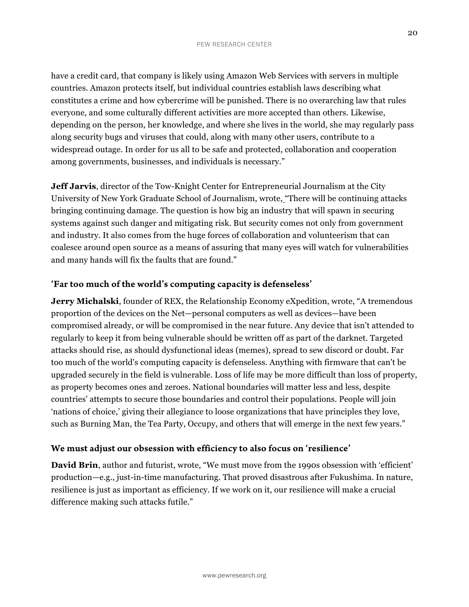have a credit card, that company is likely using Amazon Web Services with servers in multiple countries. Amazon protects itself, but individual countries establish laws describing what constitutes a crime and how cybercrime will be punished. There is no overarching law that rules everyone, and some culturally different activities are more accepted than others. Likewise, depending on the person, her knowledge, and where she lives in the world, she may regularly pass along security bugs and viruses that could, along with many other users, contribute to a widespread outage. In order for us all to be safe and protected, collaboration and cooperation among governments, businesses, and individuals is necessary."

**Jeff Jarvis**, director of the Tow-Knight Center for Entrepreneurial Journalism at the City University of New York Graduate School of Journalism, wrote, "There will be continuing attacks bringing continuing damage. The question is how big an industry that will spawn in securing systems against such danger and mitigating risk. But security comes not only from government and industry. It also comes from the huge forces of collaboration and volunteerism that can coalesce around open source as a means of assuring that many eyes will watch for vulnerabilities and many hands will fix the faults that are found."

### 'Far too much of the world's computing capacity is defenseless'

**Jerry Michalski**, founder of REX, the Relationship Economy eXpedition, wrote, "A tremendous proportion of the devices on the Net—personal computers as well as devices—have been compromised already, or will be compromised in the near future. Any device that isn't attended to regularly to keep it from being vulnerable should be written off as part of the darknet. Targeted attacks should rise, as should dysfunctional ideas (memes), spread to sew discord or doubt. Far too much of the world's computing capacity is defenseless. Anything with firmware that can't be upgraded securely in the field is vulnerable. Loss of life may be more difficult than loss of property, as property becomes ones and zeroes. National boundaries will matter less and less, despite countries' attempts to secure those boundaries and control their populations. People will join 'nations of choice,' giving their allegiance to loose organizations that have principles they love, such as Burning Man, the Tea Party, Occupy, and others that will emerge in the next few years."

### We must adjust our obsession with efficiency to also focus on 'resilience'

**David Brin**, author and futurist, wrote, "We must move from the 1990s obsession with 'efficient' production—e.g., just-in-time manufacturing. That proved disastrous after Fukushima. In nature, resilience is just as important as efficiency. If we work on it, our resilience will make a crucial difference making such attacks futile."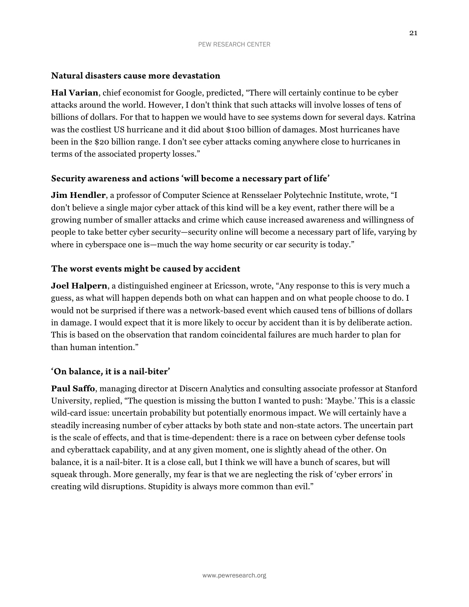### Natural disasters cause more devastation

**Hal Varian**, chief economist for Google, predicted, "There will certainly continue to be cyber attacks around the world. However, I don't think that such attacks will involve losses of tens of billions of dollars. For that to happen we would have to see systems down for several days. Katrina was the costliest US hurricane and it did about \$100 billion of damages. Most hurricanes have been in the \$20 billion range. I don't see cyber attacks coming anywhere close to hurricanes in terms of the associated property losses."

### Security awareness and actions 'will become a necessary part of life'

**Jim Hendler**, a professor of Computer Science at Rensselaer Polytechnic Institute, wrote, "I don't believe a single major cyber attack of this kind will be a key event, rather there will be a growing number of smaller attacks and crime which cause increased awareness and willingness of people to take better cyber security—security online will become a necessary part of life, varying by where in cyberspace one is—much the way home security or car security is today."

### The worst events might be caused by accident

**Joel Halpern**, a distinguished engineer at Ericsson, wrote, "Any response to this is very much a guess, as what will happen depends both on what can happen and on what people choose to do. I would not be surprised if there was a network-based event which caused tens of billions of dollars in damage. I would expect that it is more likely to occur by accident than it is by deliberate action. This is based on the observation that random coincidental failures are much harder to plan for than human intention."

### 'On balance, it is a nail-biter'

**Paul Saffo**, managing director at Discern Analytics and consulting associate professor at Stanford University, replied, "The question is missing the button I wanted to push: 'Maybe.' This is a classic wild-card issue: uncertain probability but potentially enormous impact. We will certainly have a steadily increasing number of cyber attacks by both state and non-state actors. The uncertain part is the scale of effects, and that is time-dependent: there is a race on between cyber defense tools and cyberattack capability, and at any given moment, one is slightly ahead of the other. On balance, it is a nail-biter. It is a close call, but I think we will have a bunch of scares, but will squeak through. More generally, my fear is that we are neglecting the risk of 'cyber errors' in creating wild disruptions. Stupidity is always more common than evil."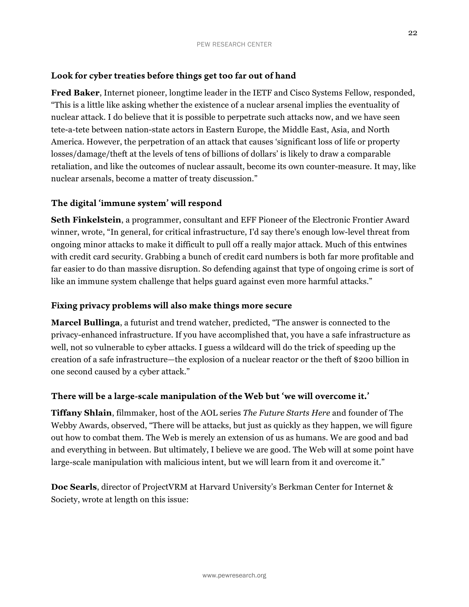### Look for cyber treaties before things get too far out of hand

**Fred Baker**, Internet pioneer, longtime leader in the IETF and Cisco Systems Fellow, responded, "This is a little like asking whether the existence of a nuclear arsenal implies the eventuality of nuclear attack. I do believe that it is possible to perpetrate such attacks now, and we have seen tete-a-tete between nation-state actors in Eastern Europe, the Middle East, Asia, and North America. However, the perpetration of an attack that causes 'significant loss of life or property losses/damage/theft at the levels of tens of billions of dollars' is likely to draw a comparable retaliation, and like the outcomes of nuclear assault, become its own counter-measure. It may, like nuclear arsenals, become a matter of treaty discussion."

### The digital 'immune system' will respond

**Seth Finkelstein**, a programmer, consultant and EFF Pioneer of the Electronic Frontier Award winner, wrote, "In general, for critical infrastructure, I'd say there's enough low-level threat from ongoing minor attacks to make it difficult to pull off a really major attack. Much of this entwines with credit card security. Grabbing a bunch of credit card numbers is both far more profitable and far easier to do than massive disruption. So defending against that type of ongoing crime is sort of like an immune system challenge that helps guard against even more harmful attacks."

### Fixing privacy problems will also make things more secure

**Marcel Bullinga**, a futurist and trend watcher, predicted, "The answer is connected to the privacy-enhanced infrastructure. If you have accomplished that, you have a safe infrastructure as well, not so vulnerable to cyber attacks. I guess a wildcard will do the trick of speeding up the creation of a safe infrastructure—the explosion of a nuclear reactor or the theft of \$200 billion in one second caused by a cyber attack."

### There will be a large-scale manipulation of the Web but 'we will overcome it.'

**Tiffany Shlain**, filmmaker, host of the AOL series *The Future Starts Here* and founder of The Webby Awards, observed, "There will be attacks, but just as quickly as they happen, we will figure out how to combat them. The Web is merely an extension of us as humans. We are good and bad and everything in between. But ultimately, I believe we are good. The Web will at some point have large-scale manipulation with malicious intent, but we will learn from it and overcome it."

**Doc Searls**, director of ProjectVRM at Harvard University's Berkman Center for Internet & Society, wrote at length on this issue: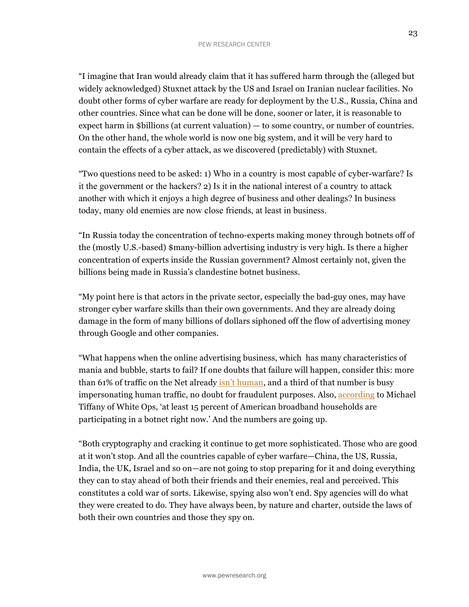"I imagine that Iran would already claim that it has suffered harm through the (alleged but widely acknowledged) Stuxnet attack by the US and Israel on Iranian nuclear facilities. No doubt other forms of cyber warfare are ready for deployment by the U.S., Russia, China and other countries. Since what can be done will be done, sooner or later, it is reasonable to expect harm in \$billions (at current valuation) — to some country, or number of countries. On the other hand, the whole world is now one big system, and it will be very hard to contain the effects of a cyber attack, as we discovered (predictably) with Stuxnet.

"Two questions need to be asked: 1) Who in a country is most capable of cyber-warfare? Is it the government or the hackers? 2) Is it in the national interest of a country to attack another with which it enjoys a high degree of business and other dealings? In business today, many old enemies are now close friends, at least in business.

"In Russia today the concentration of techno-experts making money through botnets off of the (mostly U.S.-based) \$many-billion advertising industry is very high. Is there a higher concentration of experts inside the Russian government? Almost certainly not, given the billions being made in Russia's clandestine botnet business.

"My point here is that actors in the private sector, especially the bad-guy ones, may have stronger cyber warfare skills than their own governments. And they are already doing damage in the form of many billions of dollars siphoned off the flow of advertising money through Google and other companies.

"What happens when the online advertising business, which has many characteristics of mania and bubble, starts to fail? If one doubts that failure will happen, consider this: more than 61% of traffic on the Net already isn't human, and a third of that number is busy impersonating human traffic, no doubt for fraudulent purposes. Also, according to Michael Tiffany of White Ops, 'at least 15 percent of American broadband households are participating in a botnet right now.' And the numbers are going up.

"Both cryptography and cracking it continue to get more sophisticated. Those who are good at it won't stop. And all the countries capable of cyber warfare—China, the US, Russia, India, the UK, Israel and so on—are not going to stop preparing for it and doing everything they can to stay ahead of both their friends and their enemies, real and perceived. This constitutes a cold war of sorts. Likewise, spying also won't end. Spy agencies will do what they were created to do. They have always been, by nature and charter, outside the laws of both their own countries and those they spy on.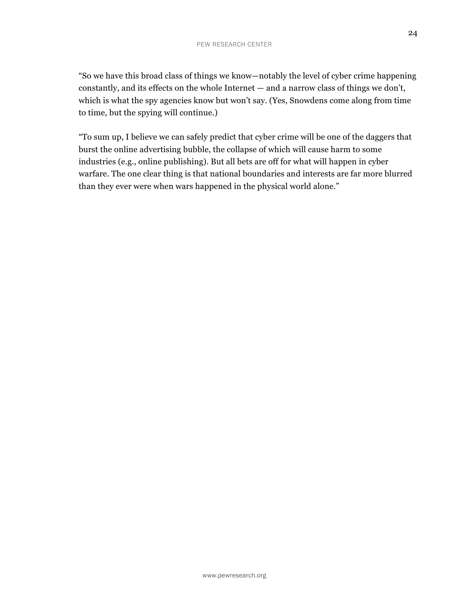"So we have this broad class of things we know—notably the level of cyber crime happening constantly, and its effects on the whole Internet — and a narrow class of things we don't, which is what the spy agencies know but won't say. (Yes, Snowdens come along from time to time, but the spying will continue.)

"To sum up, I believe we can safely predict that cyber crime will be one of the daggers that burst the online advertising bubble, the collapse of which will cause harm to some industries (e.g., online publishing). But all bets are off for what will happen in cyber warfare. The one clear thing is that national boundaries and interests are far more blurred than they ever were when wars happened in the physical world alone."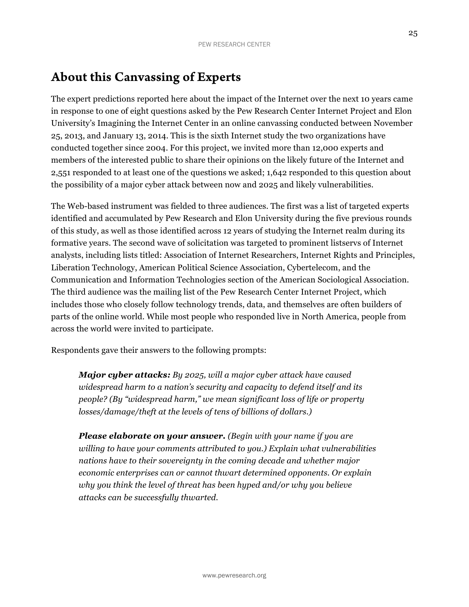# About this Canvassing of Experts

The expert predictions reported here about the impact of the Internet over the next 10 years came in response to one of eight questions asked by the Pew Research Center Internet Project and Elon University's Imagining the Internet Center in an online canvassing conducted between November 25, 2013, and January 13, 2014. This is the sixth Internet study the two organizations have conducted together since 2004. For this project, we invited more than 12,000 experts and members of the interested public to share their opinions on the likely future of the Internet and 2,551 responded to at least one of the questions we asked; 1,642 responded to this question about the possibility of a major cyber attack between now and 2025 and likely vulnerabilities.

The Web-based instrument was fielded to three audiences. The first was a list of targeted experts identified and accumulated by Pew Research and Elon University during the five previous rounds of this study, as well as those identified across 12 years of studying the Internet realm during its formative years. The second wave of solicitation was targeted to prominent listservs of Internet analysts, including lists titled: Association of Internet Researchers, Internet Rights and Principles, Liberation Technology, American Political Science Association, Cybertelecom, and the Communication and Information Technologies section of the American Sociological Association. The third audience was the mailing list of the Pew Research Center Internet Project, which includes those who closely follow technology trends, data, and themselves are often builders of parts of the online world. While most people who responded live in North America, people from across the world were invited to participate.

Respondents gave their answers to the following prompts:

*Major cyber attacks: By 2025, will a major cyber attack have caused widespread harm to a nation's security and capacity to defend itself and its people? (By "widespread harm," we mean significant loss of life or property losses/damage/theft at the levels of tens of billions of dollars.)* 

*Please elaborate on your answer. (Begin with your name if you are willing to have your comments attributed to you.) Explain what vulnerabilities nations have to their sovereignty in the coming decade and whether major economic enterprises can or cannot thwart determined opponents. Or explain why you think the level of threat has been hyped and/or why you believe attacks can be successfully thwarted.*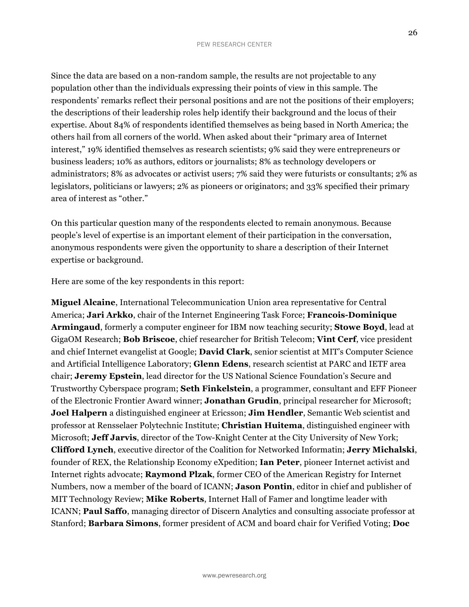Since the data are based on a non-random sample, the results are not projectable to any population other than the individuals expressing their points of view in this sample. The respondents' remarks reflect their personal positions and are not the positions of their employers; the descriptions of their leadership roles help identify their background and the locus of their expertise. About 84% of respondents identified themselves as being based in North America; the others hail from all corners of the world. When asked about their "primary area of Internet interest," 19% identified themselves as research scientists; 9% said they were entrepreneurs or business leaders; 10% as authors, editors or journalists; 8% as technology developers or administrators; 8% as advocates or activist users; 7% said they were futurists or consultants; 2% as legislators, politicians or lawyers; 2% as pioneers or originators; and 33% specified their primary area of interest as "other."

On this particular question many of the respondents elected to remain anonymous. Because people's level of expertise is an important element of their participation in the conversation, anonymous respondents were given the opportunity to share a description of their Internet expertise or background.

Here are some of the key respondents in this report:

**Miguel Alcaine**, International Telecommunication Union area representative for Central America; **Jari Arkko**, chair of the Internet Engineering Task Force; **Francois-Dominique Armingaud**, formerly a computer engineer for IBM now teaching security; **Stowe Boyd**, lead at GigaOM Research; **Bob Briscoe**, chief researcher for British Telecom; **Vint Cerf**, vice president and chief Internet evangelist at Google; **David Clark**, senior scientist at MIT's Computer Science and Artificial Intelligence Laboratory; **Glenn Edens**, research scientist at PARC and IETF area chair; **Jeremy Epstein**, lead director for the US National Science Foundation's Secure and Trustworthy Cyberspace program; **Seth Finkelstein**, a programmer, consultant and EFF Pioneer of the Electronic Frontier Award winner; **Jonathan Grudin**, principal researcher for Microsoft; **Joel Halpern** a distinguished engineer at Ericsson; **Jim Hendler**, Semantic Web scientist and professor at Rensselaer Polytechnic Institute; **Christian Huitema**, distinguished engineer with Microsoft; **Jeff Jarvis**, director of the Tow-Knight Center at the City University of New York; **Clifford Lynch**, executive director of the Coalition for Networked Informatin; **Jerry Michalski**, founder of REX, the Relationship Economy eXpedition; **Ian Peter**, pioneer Internet activist and Internet rights advocate; **Raymond Plzak**, former CEO of the American Registry for Internet Numbers, now a member of the board of ICANN; **Jason Pontin**, editor in chief and publisher of MIT Technology Review; **Mike Roberts**, Internet Hall of Famer and longtime leader with ICANN; **Paul Saffo**, managing director of Discern Analytics and consulting associate professor at Stanford; **Barbara Simons**, former president of ACM and board chair for Verified Voting; **Doc**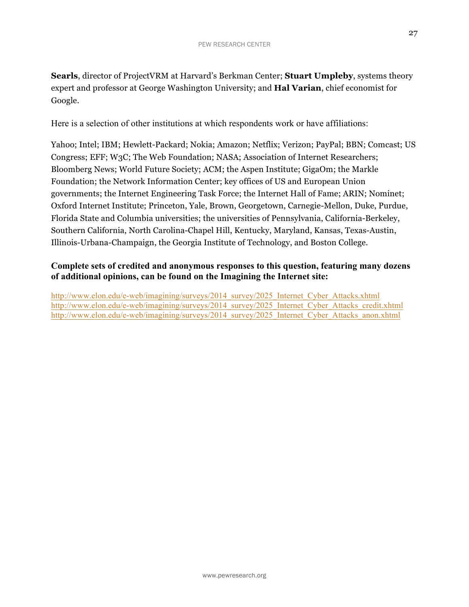**Searls**, director of ProjectVRM at Harvard's Berkman Center; **Stuart Umpleby**, systems theory expert and professor at George Washington University; and **Hal Varian**, chief economist for Google.

Here is a selection of other institutions at which respondents work or have affiliations:

Yahoo; Intel; IBM; Hewlett-Packard; Nokia; Amazon; Netflix; Verizon; PayPal; BBN; Comcast; US Congress; EFF; W3C; The Web Foundation; NASA; Association of Internet Researchers; Bloomberg News; World Future Society; ACM; the Aspen Institute; GigaOm; the Markle Foundation; the Network Information Center; key offices of US and European Union governments; the Internet Engineering Task Force; the Internet Hall of Fame; ARIN; Nominet; Oxford Internet Institute; Princeton, Yale, Brown, Georgetown, Carnegie-Mellon, Duke, Purdue, Florida State and Columbia universities; the universities of Pennsylvania, California-Berkeley, Southern California, North Carolina-Chapel Hill, Kentucky, Maryland, Kansas, Texas-Austin, Illinois-Urbana-Champaign, the Georgia Institute of Technology, and Boston College.

### **Complete sets of credited and anonymous responses to this question, featuring many dozens of additional opinions, can be found on the Imagining the Internet site:**

http://www.elon.edu/e-web/imagining/surveys/2014\_survey/2025\_Internet\_Cyber\_Attacks.xhtml http://www.elon.edu/e-web/imagining/surveys/2014\_survey/2025\_Internet\_Cyber\_Attacks\_credit.xhtml http://www.elon.edu/e-web/imagining/surveys/2014\_survey/2025\_Internet\_Cyber\_Attacks\_anon.xhtml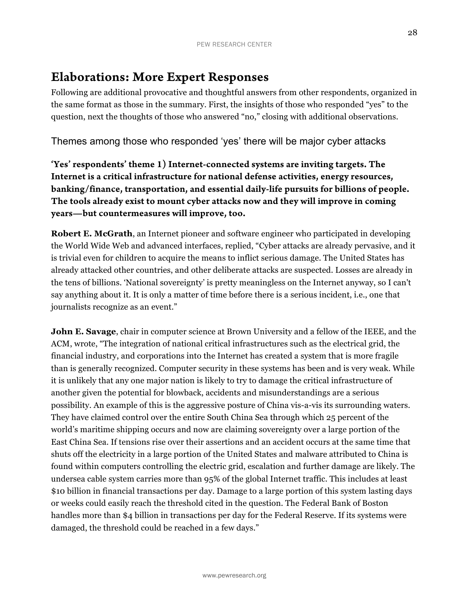# Elaborations: More Expert Responses

Following are additional provocative and thoughtful answers from other respondents, organized in the same format as those in the summary. First, the insights of those who responded "yes" to the question, next the thoughts of those who answered "no," closing with additional observations.

Themes among those who responded 'yes' there will be major cyber attacks

'Yes' respondents' theme 1) Internet-connected systems are inviting targets. The Internet is a critical infrastructure for national defense activities, energy resources, banking/finance, transportation, and essential daily-life pursuits for billions of people. The tools already exist to mount cyber attacks now and they will improve in coming years—but countermeasures will improve, too.

**Robert E. McGrath**, an Internet pioneer and software engineer who participated in developing the World Wide Web and advanced interfaces, replied, "Cyber attacks are already pervasive, and it is trivial even for children to acquire the means to inflict serious damage. The United States has already attacked other countries, and other deliberate attacks are suspected. Losses are already in the tens of billions. 'National sovereignty' is pretty meaningless on the Internet anyway, so I can't say anything about it. It is only a matter of time before there is a serious incident, i.e., one that journalists recognize as an event."

**John E. Savage**, chair in computer science at Brown University and a fellow of the IEEE, and the ACM, wrote, "The integration of national critical infrastructures such as the electrical grid, the financial industry, and corporations into the Internet has created a system that is more fragile than is generally recognized. Computer security in these systems has been and is very weak. While it is unlikely that any one major nation is likely to try to damage the critical infrastructure of another given the potential for blowback, accidents and misunderstandings are a serious possibility. An example of this is the aggressive posture of China vis-a-vis its surrounding waters. They have claimed control over the entire South China Sea through which 25 percent of the world's maritime shipping occurs and now are claiming sovereignty over a large portion of the East China Sea. If tensions rise over their assertions and an accident occurs at the same time that shuts off the electricity in a large portion of the United States and malware attributed to China is found within computers controlling the electric grid, escalation and further damage are likely. The undersea cable system carries more than 95% of the global Internet traffic. This includes at least \$10 billion in financial transactions per day. Damage to a large portion of this system lasting days or weeks could easily reach the threshold cited in the question. The Federal Bank of Boston handles more than \$4 billion in transactions per day for the Federal Reserve. If its systems were damaged, the threshold could be reached in a few days."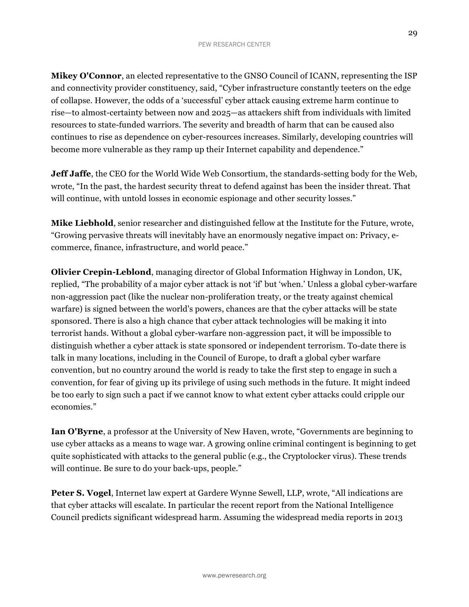**Mikey O'Connor**, an elected representative to the GNSO Council of ICANN, representing the ISP and connectivity provider constituency, said, "Cyber infrastructure constantly teeters on the edge of collapse. However, the odds of a 'successful' cyber attack causing extreme harm continue to rise—to almost-certainty between now and 2025—as attackers shift from individuals with limited resources to state-funded warriors. The severity and breadth of harm that can be caused also continues to rise as dependence on cyber-resources increases. Similarly, developing countries will become more vulnerable as they ramp up their Internet capability and dependence."

**Jeff Jaffe**, the CEO for the World Wide Web Consortium, the standards-setting body for the Web, wrote, "In the past, the hardest security threat to defend against has been the insider threat. That will continue, with untold losses in economic espionage and other security losses."

**Mike Liebhold**, senior researcher and distinguished fellow at the Institute for the Future, wrote, "Growing pervasive threats will inevitably have an enormously negative impact on: Privacy, ecommerce, finance, infrastructure, and world peace."

**Olivier Crepin-Leblond**, managing director of Global Information Highway in London, UK, replied, "The probability of a major cyber attack is not 'if' but 'when.' Unless a global cyber-warfare non-aggression pact (like the nuclear non-proliferation treaty, or the treaty against chemical warfare) is signed between the world's powers, chances are that the cyber attacks will be state sponsored. There is also a high chance that cyber attack technologies will be making it into terrorist hands. Without a global cyber-warfare non-aggression pact, it will be impossible to distinguish whether a cyber attack is state sponsored or independent terrorism. To-date there is talk in many locations, including in the Council of Europe, to draft a global cyber warfare convention, but no country around the world is ready to take the first step to engage in such a convention, for fear of giving up its privilege of using such methods in the future. It might indeed be too early to sign such a pact if we cannot know to what extent cyber attacks could cripple our economies."

**Ian O'Byrne**, a professor at the University of New Haven, wrote, "Governments are beginning to use cyber attacks as a means to wage war. A growing online criminal contingent is beginning to get quite sophisticated with attacks to the general public (e.g., the Cryptolocker virus). These trends will continue. Be sure to do your back-ups, people."

**Peter S. Vogel**, Internet law expert at Gardere Wynne Sewell, LLP, wrote, "All indications are that cyber attacks will escalate. In particular the recent report from the National Intelligence Council predicts significant widespread harm. Assuming the widespread media reports in 2013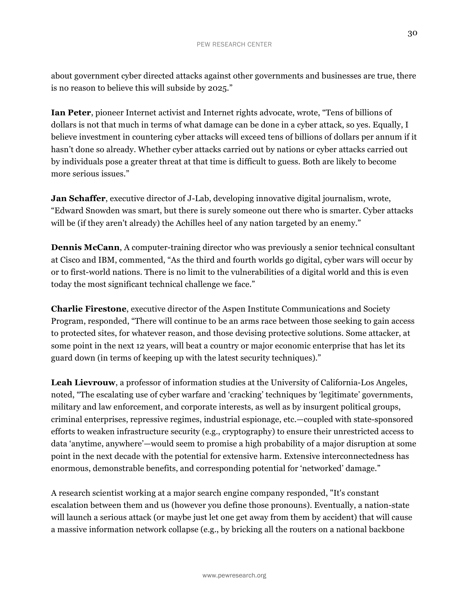about government cyber directed attacks against other governments and businesses are true, there is no reason to believe this will subside by 2025."

**Ian Peter**, pioneer Internet activist and Internet rights advocate, wrote, "Tens of billions of dollars is not that much in terms of what damage can be done in a cyber attack, so yes. Equally, I believe investment in countering cyber attacks will exceed tens of billions of dollars per annum if it hasn't done so already. Whether cyber attacks carried out by nations or cyber attacks carried out by individuals pose a greater threat at that time is difficult to guess. Both are likely to become more serious issues."

**Jan Schaffer**, executive director of J-Lab, developing innovative digital journalism, wrote, "Edward Snowden was smart, but there is surely someone out there who is smarter. Cyber attacks will be (if they aren't already) the Achilles heel of any nation targeted by an enemy."

**Dennis McCann**, A computer-training director who was previously a senior technical consultant at Cisco and IBM, commented, "As the third and fourth worlds go digital, cyber wars will occur by or to first-world nations. There is no limit to the vulnerabilities of a digital world and this is even today the most significant technical challenge we face."

**Charlie Firestone**, executive director of the Aspen Institute Communications and Society Program, responded, "There will continue to be an arms race between those seeking to gain access to protected sites, for whatever reason, and those devising protective solutions. Some attacker, at some point in the next 12 years, will beat a country or major economic enterprise that has let its guard down (in terms of keeping up with the latest security techniques)."

**Leah Lievrouw**, a professor of information studies at the University of California-Los Angeles, noted, "The escalating use of cyber warfare and 'cracking' techniques by 'legitimate' governments, military and law enforcement, and corporate interests, as well as by insurgent political groups, criminal enterprises, repressive regimes, industrial espionage, etc.—coupled with state-sponsored efforts to weaken infrastructure security (e.g., cryptography) to ensure their unrestricted access to data 'anytime, anywhere'—would seem to promise a high probability of a major disruption at some point in the next decade with the potential for extensive harm. Extensive interconnectedness has enormous, demonstrable benefits, and corresponding potential for 'networked' damage."

A research scientist working at a major search engine company responded, "It's constant escalation between them and us (however you define those pronouns). Eventually, a nation-state will launch a serious attack (or maybe just let one get away from them by accident) that will cause a massive information network collapse (e.g., by bricking all the routers on a national backbone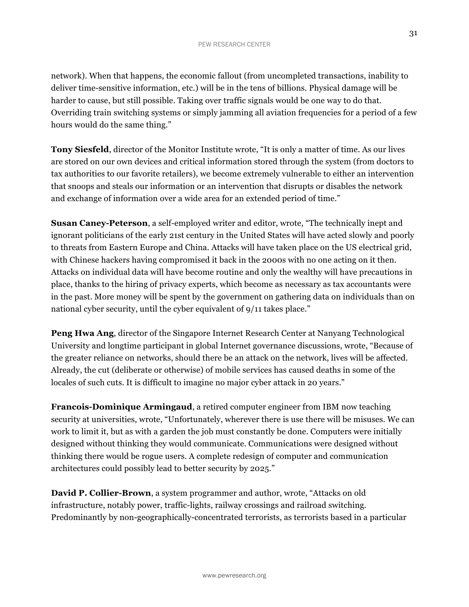network). When that happens, the economic fallout (from uncompleted transactions, inability to deliver time-sensitive information, etc.) will be in the tens of billions. Physical damage will be harder to cause, but still possible. Taking over traffic signals would be one way to do that. Overriding train switching systems or simply jamming all aviation frequencies for a period of a few hours would do the same thing."

**Tony Siesfeld**, director of the Monitor Institute wrote, "It is only a matter of time. As our lives are stored on our own devices and critical information stored through the system (from doctors to tax authorities to our favorite retailers), we become extremely vulnerable to either an intervention that snoops and steals our information or an intervention that disrupts or disables the network and exchange of information over a wide area for an extended period of time."

**Susan Caney-Peterson**, a self-employed writer and editor, wrote, "The technically inept and ignorant politicians of the early 21st century in the United States will have acted slowly and poorly to threats from Eastern Europe and China. Attacks will have taken place on the US electrical grid, with Chinese hackers having compromised it back in the 2000s with no one acting on it then. Attacks on individual data will have become routine and only the wealthy will have precautions in place, thanks to the hiring of privacy experts, which become as necessary as tax accountants were in the past. More money will be spent by the government on gathering data on individuals than on national cyber security, until the cyber equivalent of 9/11 takes place."

**Peng Hwa Ang**, director of the Singapore Internet Research Center at Nanyang Technological University and longtime participant in global Internet governance discussions, wrote, "Because of the greater reliance on networks, should there be an attack on the network, lives will be affected. Already, the cut (deliberate or otherwise) of mobile services has caused deaths in some of the locales of such cuts. It is difficult to imagine no major cyber attack in 20 years."

**Francois-Dominique Armingaud**, a retired computer engineer from IBM now teaching security at universities, wrote, "Unfortunately, wherever there is use there will be misuses. We can work to limit it, but as with a garden the job must constantly be done. Computers were initially designed without thinking they would communicate. Communications were designed without thinking there would be rogue users. A complete redesign of computer and communication architectures could possibly lead to better security by 2025."

**David P. Collier-Brown**, a system programmer and author, wrote, "Attacks on old infrastructure, notably power, traffic-lights, railway crossings and railroad switching. Predominantly by non-geographically-concentrated terrorists, as terrorists based in a particular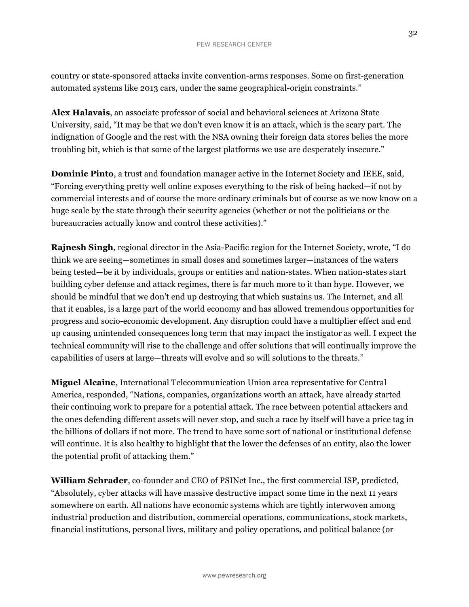country or state-sponsored attacks invite convention-arms responses. Some on first-generation automated systems like 2013 cars, under the same geographical-origin constraints."

**Alex Halavais**, an associate professor of social and behavioral sciences at Arizona State University, said, "It may be that we don't even know it is an attack, which is the scary part. The indignation of Google and the rest with the NSA owning their foreign data stores belies the more troubling bit, which is that some of the largest platforms we use are desperately insecure."

**Dominic Pinto**, a trust and foundation manager active in the Internet Society and IEEE, said, "Forcing everything pretty well online exposes everything to the risk of being hacked—if not by commercial interests and of course the more ordinary criminals but of course as we now know on a huge scale by the state through their security agencies (whether or not the politicians or the bureaucracies actually know and control these activities)."

**Rajnesh Singh**, regional director in the Asia-Pacific region for the Internet Society, wrote, "I do think we are seeing—sometimes in small doses and sometimes larger—instances of the waters being tested—be it by individuals, groups or entities and nation-states. When nation-states start building cyber defense and attack regimes, there is far much more to it than hype. However, we should be mindful that we don't end up destroying that which sustains us. The Internet, and all that it enables, is a large part of the world economy and has allowed tremendous opportunities for progress and socio-economic development. Any disruption could have a multiplier effect and end up causing unintended consequences long term that may impact the instigator as well. I expect the technical community will rise to the challenge and offer solutions that will continually improve the capabilities of users at large—threats will evolve and so will solutions to the threats."

**Miguel Alcaine**, International Telecommunication Union area representative for Central America, responded, "Nations, companies, organizations worth an attack, have already started their continuing work to prepare for a potential attack. The race between potential attackers and the ones defending different assets will never stop, and such a race by itself will have a price tag in the billions of dollars if not more. The trend to have some sort of national or institutional defense will continue. It is also healthy to highlight that the lower the defenses of an entity, also the lower the potential profit of attacking them."

**William Schrader**, co-founder and CEO of PSINet Inc., the first commercial ISP, predicted, "Absolutely, cyber attacks will have massive destructive impact some time in the next 11 years somewhere on earth. All nations have economic systems which are tightly interwoven among industrial production and distribution, commercial operations, communications, stock markets, financial institutions, personal lives, military and policy operations, and political balance (or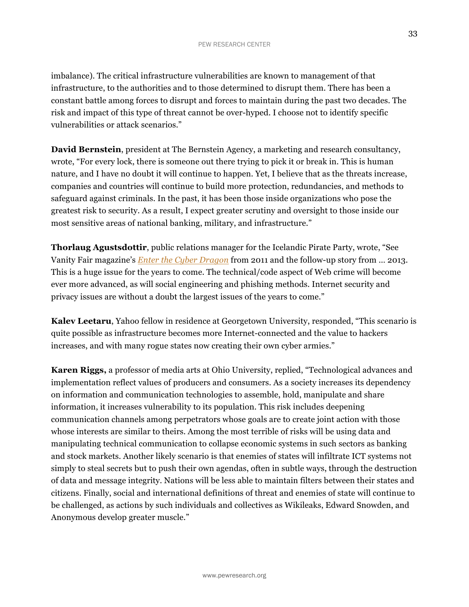imbalance). The critical infrastructure vulnerabilities are known to management of that infrastructure, to the authorities and to those determined to disrupt them. There has been a constant battle among forces to disrupt and forces to maintain during the past two decades. The risk and impact of this type of threat cannot be over-hyped. I choose not to identify specific vulnerabilities or attack scenarios."

**David Bernstein**, president at The Bernstein Agency, a marketing and research consultancy, wrote, "For every lock, there is someone out there trying to pick it or break in. This is human nature, and I have no doubt it will continue to happen. Yet, I believe that as the threats increase, companies and countries will continue to build more protection, redundancies, and methods to safeguard against criminals. In the past, it has been those inside organizations who pose the greatest risk to security. As a result, I expect greater scrutiny and oversight to those inside our most sensitive areas of national banking, military, and infrastructure."

**Thorlaug Agustsdottir**, public relations manager for the Icelandic Pirate Party, wrote, "See Vanity Fair magazine's *Enter the Cyber Dragon* from 2011 and the follow-up story from … 2013. This is a huge issue for the years to come. The technical/code aspect of Web crime will become ever more advanced, as will social engineering and phishing methods. Internet security and privacy issues are without a doubt the largest issues of the years to come."

**Kalev Leetaru**, Yahoo fellow in residence at Georgetown University, responded, "This scenario is quite possible as infrastructure becomes more Internet-connected and the value to hackers increases, and with many rogue states now creating their own cyber armies."

**Karen Riggs,** a professor of media arts at Ohio University, replied, "Technological advances and implementation reflect values of producers and consumers. As a society increases its dependency on information and communication technologies to assemble, hold, manipulate and share information, it increases vulnerability to its population. This risk includes deepening communication channels among perpetrators whose goals are to create joint action with those whose interests are similar to theirs. Among the most terrible of risks will be using data and manipulating technical communication to collapse economic systems in such sectors as banking and stock markets. Another likely scenario is that enemies of states will infiltrate ICT systems not simply to steal secrets but to push their own agendas, often in subtle ways, through the destruction of data and message integrity. Nations will be less able to maintain filters between their states and citizens. Finally, social and international definitions of threat and enemies of state will continue to be challenged, as actions by such individuals and collectives as Wikileaks, Edward Snowden, and Anonymous develop greater muscle."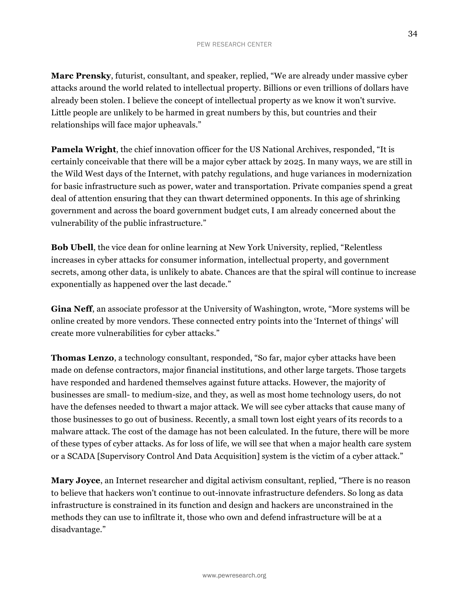**Marc Prensky**, futurist, consultant, and speaker, replied, "We are already under massive cyber attacks around the world related to intellectual property. Billions or even trillions of dollars have already been stolen. I believe the concept of intellectual property as we know it won't survive. Little people are unlikely to be harmed in great numbers by this, but countries and their relationships will face major upheavals."

**Pamela Wright**, the chief innovation officer for the US National Archives, responded, "It is certainly conceivable that there will be a major cyber attack by 2025. In many ways, we are still in the Wild West days of the Internet, with patchy regulations, and huge variances in modernization for basic infrastructure such as power, water and transportation. Private companies spend a great deal of attention ensuring that they can thwart determined opponents. In this age of shrinking government and across the board government budget cuts, I am already concerned about the vulnerability of the public infrastructure."

**Bob Ubell**, the vice dean for online learning at New York University, replied, "Relentless increases in cyber attacks for consumer information, intellectual property, and government secrets, among other data, is unlikely to abate. Chances are that the spiral will continue to increase exponentially as happened over the last decade."

**Gina Neff**, an associate professor at the University of Washington, wrote, "More systems will be online created by more vendors. These connected entry points into the 'Internet of things' will create more vulnerabilities for cyber attacks."

**Thomas Lenzo**, a technology consultant, responded, "So far, major cyber attacks have been made on defense contractors, major financial institutions, and other large targets. Those targets have responded and hardened themselves against future attacks. However, the majority of businesses are small- to medium-size, and they, as well as most home technology users, do not have the defenses needed to thwart a major attack. We will see cyber attacks that cause many of those businesses to go out of business. Recently, a small town lost eight years of its records to a malware attack. The cost of the damage has not been calculated. In the future, there will be more of these types of cyber attacks. As for loss of life, we will see that when a major health care system or a SCADA [Supervisory Control And Data Acquisition] system is the victim of a cyber attack."

**Mary Joyce**, an Internet researcher and digital activism consultant, replied, "There is no reason to believe that hackers won't continue to out-innovate infrastructure defenders. So long as data infrastructure is constrained in its function and design and hackers are unconstrained in the methods they can use to infiltrate it, those who own and defend infrastructure will be at a disadvantage."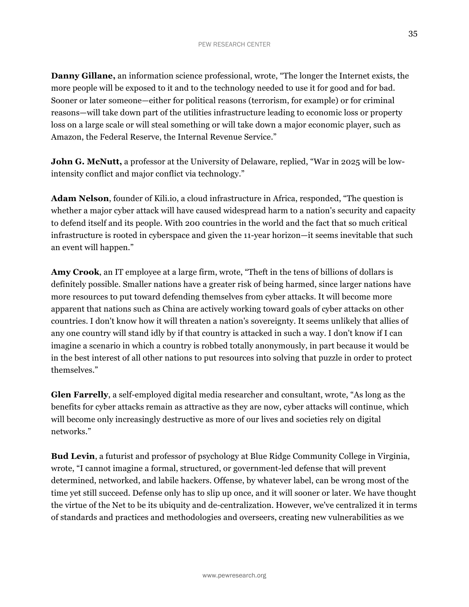**Danny Gillane,** an information science professional, wrote, "The longer the Internet exists, the more people will be exposed to it and to the technology needed to use it for good and for bad. Sooner or later someone—either for political reasons (terrorism, for example) or for criminal reasons—will take down part of the utilities infrastructure leading to economic loss or property loss on a large scale or will steal something or will take down a major economic player, such as Amazon, the Federal Reserve, the Internal Revenue Service."

**John G. McNutt,** a professor at the University of Delaware, replied, "War in 2025 will be lowintensity conflict and major conflict via technology."

**Adam Nelson**, founder of Kili.io, a cloud infrastructure in Africa, responded, "The question is whether a major cyber attack will have caused widespread harm to a nation's security and capacity to defend itself and its people. With 200 countries in the world and the fact that so much critical infrastructure is rooted in cyberspace and given the 11-year horizon—it seems inevitable that such an event will happen."

**Amy Crook**, an IT employee at a large firm, wrote, "Theft in the tens of billions of dollars is definitely possible. Smaller nations have a greater risk of being harmed, since larger nations have more resources to put toward defending themselves from cyber attacks. It will become more apparent that nations such as China are actively working toward goals of cyber attacks on other countries. I don't know how it will threaten a nation's sovereignty. It seems unlikely that allies of any one country will stand idly by if that country is attacked in such a way. I don't know if I can imagine a scenario in which a country is robbed totally anonymously, in part because it would be in the best interest of all other nations to put resources into solving that puzzle in order to protect themselves."

**Glen Farrelly**, a self-employed digital media researcher and consultant, wrote, "As long as the benefits for cyber attacks remain as attractive as they are now, cyber attacks will continue, which will become only increasingly destructive as more of our lives and societies rely on digital networks."

**Bud Levin**, a futurist and professor of psychology at Blue Ridge Community College in Virginia, wrote, "I cannot imagine a formal, structured, or government-led defense that will prevent determined, networked, and labile hackers. Offense, by whatever label, can be wrong most of the time yet still succeed. Defense only has to slip up once, and it will sooner or later. We have thought the virtue of the Net to be its ubiquity and de-centralization. However, we've centralized it in terms of standards and practices and methodologies and overseers, creating new vulnerabilities as we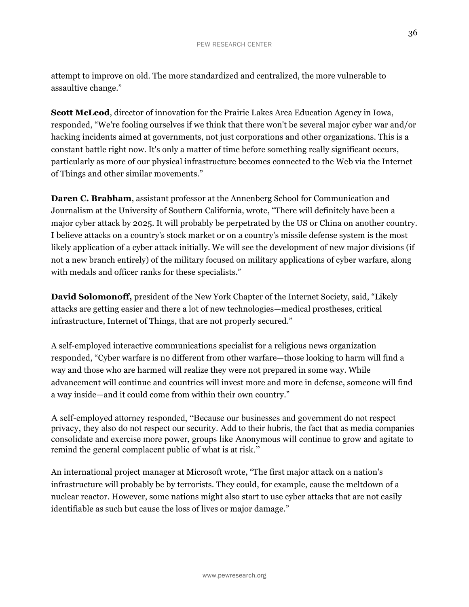attempt to improve on old. The more standardized and centralized, the more vulnerable to assaultive change."

**Scott McLeod**, director of innovation for the Prairie Lakes Area Education Agency in Iowa, responded, "We're fooling ourselves if we think that there won't be several major cyber war and/or hacking incidents aimed at governments, not just corporations and other organizations. This is a constant battle right now. It's only a matter of time before something really significant occurs, particularly as more of our physical infrastructure becomes connected to the Web via the Internet of Things and other similar movements."

**Daren C. Brabham**, assistant professor at the Annenberg School for Communication and Journalism at the University of Southern California, wrote, "There will definitely have been a major cyber attack by 2025. It will probably be perpetrated by the US or China on another country. I believe attacks on a country's stock market or on a country's missile defense system is the most likely application of a cyber attack initially. We will see the development of new major divisions (if not a new branch entirely) of the military focused on military applications of cyber warfare, along with medals and officer ranks for these specialists."

**David Solomonoff,** president of the New York Chapter of the Internet Society, said, "Likely attacks are getting easier and there a lot of new technologies—medical prostheses, critical infrastructure, Internet of Things, that are not properly secured."

A self-employed interactive communications specialist for a religious news organization responded, "Cyber warfare is no different from other warfare—those looking to harm will find a way and those who are harmed will realize they were not prepared in some way. While advancement will continue and countries will invest more and more in defense, someone will find a way inside—and it could come from within their own country."

A self-employed attorney responded, "Because our businesses and government do not respect privacy, they also do not respect our security. Add to their hubris, the fact that as media companies consolidate and exercise more power, groups like Anonymous will continue to grow and agitate to remind the general complacent public of what is at risk."

An international project manager at Microsoft wrote, "The first major attack on a nation's infrastructure will probably be by terrorists. They could, for example, cause the meltdown of a nuclear reactor. However, some nations might also start to use cyber attacks that are not easily identifiable as such but cause the loss of lives or major damage."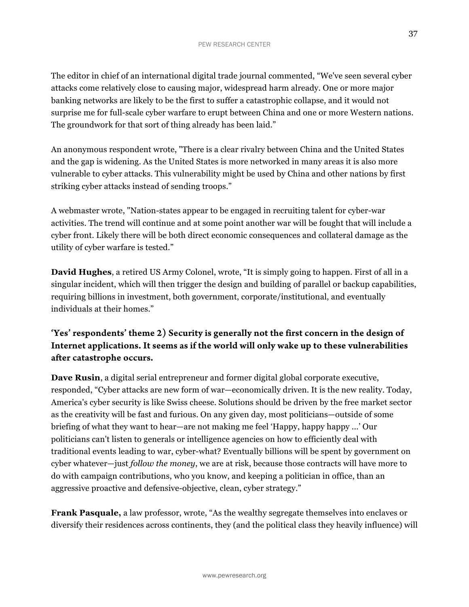The editor in chief of an international digital trade journal commented, "We've seen several cyber attacks come relatively close to causing major, widespread harm already. One or more major banking networks are likely to be the first to suffer a catastrophic collapse, and it would not surprise me for full-scale cyber warfare to erupt between China and one or more Western nations. The groundwork for that sort of thing already has been laid."

An anonymous respondent wrote, "There is a clear rivalry between China and the United States and the gap is widening. As the United States is more networked in many areas it is also more vulnerable to cyber attacks. This vulnerability might be used by China and other nations by first striking cyber attacks instead of sending troops."

A webmaster wrote, "Nation-states appear to be engaged in recruiting talent for cyber-war activities. The trend will continue and at some point another war will be fought that will include a cyber front. Likely there will be both direct economic consequences and collateral damage as the utility of cyber warfare is tested."

**David Hughes**, a retired US Army Colonel, wrote, "It is simply going to happen. First of all in a singular incident, which will then trigger the design and building of parallel or backup capabilities, requiring billions in investment, both government, corporate/institutional, and eventually individuals at their homes."

# 'Yes' respondents' theme 2) Security is generally not the first concern in the design of Internet applications. It seems as if the world will only wake up to these vulnerabilities after catastrophe occurs.

**Dave Rusin**, a digital serial entrepreneur and former digital global corporate executive, responded, "Cyber attacks are new form of war—economically driven. It is the new reality. Today, America's cyber security is like Swiss cheese. Solutions should be driven by the free market sector as the creativity will be fast and furious. On any given day, most politicians—outside of some briefing of what they want to hear—are not making me feel 'Happy, happy happy ...' Our politicians can't listen to generals or intelligence agencies on how to efficiently deal with traditional events leading to war, cyber-what? Eventually billions will be spent by government on cyber whatever—just *follow the money*, we are at risk, because those contracts will have more to do with campaign contributions, who you know, and keeping a politician in office, than an aggressive proactive and defensive-objective, clean, cyber strategy."

**Frank Pasquale,** a law professor, wrote, "As the wealthy segregate themselves into enclaves or diversify their residences across continents, they (and the political class they heavily influence) will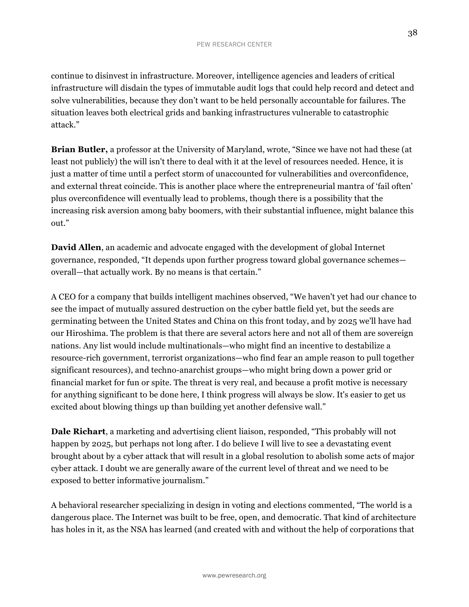38

continue to disinvest in infrastructure. Moreover, intelligence agencies and leaders of critical infrastructure will disdain the types of immutable audit logs that could help record and detect and solve vulnerabilities, because they don't want to be held personally accountable for failures. The situation leaves both electrical grids and banking infrastructures vulnerable to catastrophic attack."

PEW RESEARCH CENTER

**Brian Butler,** a professor at the University of Maryland, wrote, "Since we have not had these (at least not publicly) the will isn't there to deal with it at the level of resources needed. Hence, it is just a matter of time until a perfect storm of unaccounted for vulnerabilities and overconfidence, and external threat coincide. This is another place where the entrepreneurial mantra of 'fail often' plus overconfidence will eventually lead to problems, though there is a possibility that the increasing risk aversion among baby boomers, with their substantial influence, might balance this out."

**David Allen**, an academic and advocate engaged with the development of global Internet governance, responded, "It depends upon further progress toward global governance schemes overall—that actually work. By no means is that certain."

A CEO for a company that builds intelligent machines observed, "We haven't yet had our chance to see the impact of mutually assured destruction on the cyber battle field yet, but the seeds are germinating between the United States and China on this front today, and by 2025 we'll have had our Hiroshima. The problem is that there are several actors here and not all of them are sovereign nations. Any list would include multinationals—who might find an incentive to destabilize a resource-rich government, terrorist organizations—who find fear an ample reason to pull together significant resources), and techno-anarchist groups—who might bring down a power grid or financial market for fun or spite. The threat is very real, and because a profit motive is necessary for anything significant to be done here, I think progress will always be slow. It's easier to get us excited about blowing things up than building yet another defensive wall."

**Dale Richart**, a marketing and advertising client liaison, responded, "This probably will not happen by 2025, but perhaps not long after. I do believe I will live to see a devastating event brought about by a cyber attack that will result in a global resolution to abolish some acts of major cyber attack. I doubt we are generally aware of the current level of threat and we need to be exposed to better informative journalism."

A behavioral researcher specializing in design in voting and elections commented, "The world is a dangerous place. The Internet was built to be free, open, and democratic. That kind of architecture has holes in it, as the NSA has learned (and created with and without the help of corporations that

www.pewresearch.org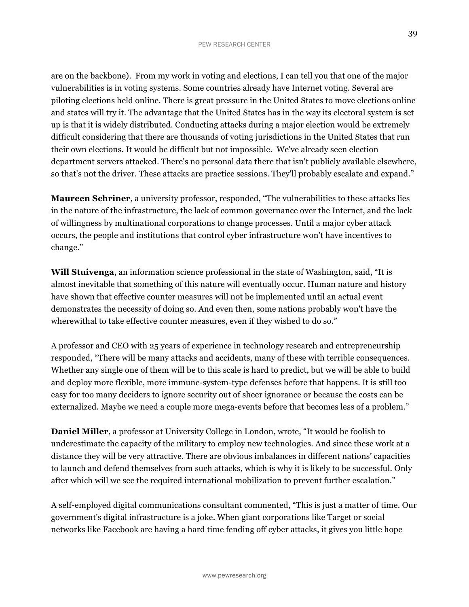are on the backbone). From my work in voting and elections, I can tell you that one of the major vulnerabilities is in voting systems. Some countries already have Internet voting. Several are piloting elections held online. There is great pressure in the United States to move elections online and states will try it. The advantage that the United States has in the way its electoral system is set up is that it is widely distributed. Conducting attacks during a major election would be extremely difficult considering that there are thousands of voting jurisdictions in the United States that run their own elections. It would be difficult but not impossible. We've already seen election department servers attacked. There's no personal data there that isn't publicly available elsewhere, so that's not the driver. These attacks are practice sessions. They'll probably escalate and expand."

**Maureen Schriner**, a university professor, responded, "The vulnerabilities to these attacks lies in the nature of the infrastructure, the lack of common governance over the Internet, and the lack of willingness by multinational corporations to change processes. Until a major cyber attack occurs, the people and institutions that control cyber infrastructure won't have incentives to change."

**Will Stuivenga**, an information science professional in the state of Washington, said, "It is almost inevitable that something of this nature will eventually occur. Human nature and history have shown that effective counter measures will not be implemented until an actual event demonstrates the necessity of doing so. And even then, some nations probably won't have the wherewithal to take effective counter measures, even if they wished to do so."

A professor and CEO with 25 years of experience in technology research and entrepreneurship responded, "There will be many attacks and accidents, many of these with terrible consequences. Whether any single one of them will be to this scale is hard to predict, but we will be able to build and deploy more flexible, more immune-system-type defenses before that happens. It is still too easy for too many deciders to ignore security out of sheer ignorance or because the costs can be externalized. Maybe we need a couple more mega-events before that becomes less of a problem."

**Daniel Miller**, a professor at University College in London, wrote, "It would be foolish to underestimate the capacity of the military to employ new technologies. And since these work at a distance they will be very attractive. There are obvious imbalances in different nations' capacities to launch and defend themselves from such attacks, which is why it is likely to be successful. Only after which will we see the required international mobilization to prevent further escalation."

A self-employed digital communications consultant commented, "This is just a matter of time. Our government's digital infrastructure is a joke. When giant corporations like Target or social networks like Facebook are having a hard time fending off cyber attacks, it gives you little hope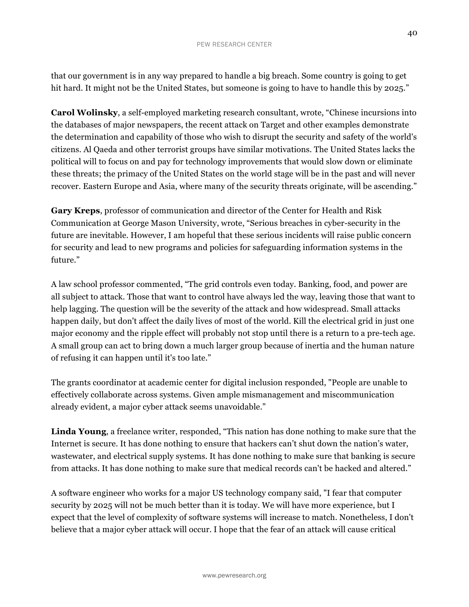that our government is in any way prepared to handle a big breach. Some country is going to get hit hard. It might not be the United States, but someone is going to have to handle this by 2025."

**Carol Wolinsky**, a self-employed marketing research consultant, wrote, "Chinese incursions into the databases of major newspapers, the recent attack on Target and other examples demonstrate the determination and capability of those who wish to disrupt the security and safety of the world's citizens. Al Qaeda and other terrorist groups have similar motivations. The United States lacks the political will to focus on and pay for technology improvements that would slow down or eliminate these threats; the primacy of the United States on the world stage will be in the past and will never recover. Eastern Europe and Asia, where many of the security threats originate, will be ascending."

**Gary Kreps**, professor of communication and director of the Center for Health and Risk Communication at George Mason University, wrote, "Serious breaches in cyber-security in the future are inevitable. However, I am hopeful that these serious incidents will raise public concern for security and lead to new programs and policies for safeguarding information systems in the future."

A law school professor commented, "The grid controls even today. Banking, food, and power are all subject to attack. Those that want to control have always led the way, leaving those that want to help lagging. The question will be the severity of the attack and how widespread. Small attacks happen daily, but don't affect the daily lives of most of the world. Kill the electrical grid in just one major economy and the ripple effect will probably not stop until there is a return to a pre-tech age. A small group can act to bring down a much larger group because of inertia and the human nature of refusing it can happen until it's too late."

The grants coordinator at academic center for digital inclusion responded, "People are unable to effectively collaborate across systems. Given ample mismanagement and miscommunication already evident, a major cyber attack seems unavoidable."

**Linda Young**, a freelance writer, responded, "This nation has done nothing to make sure that the Internet is secure. It has done nothing to ensure that hackers can't shut down the nation's water, wastewater, and electrical supply systems. It has done nothing to make sure that banking is secure from attacks. It has done nothing to make sure that medical records can't be hacked and altered."

A software engineer who works for a major US technology company said, "I fear that computer security by 2025 will not be much better than it is today. We will have more experience, but I expect that the level of complexity of software systems will increase to match. Nonetheless, I don't believe that a major cyber attack will occur. I hope that the fear of an attack will cause critical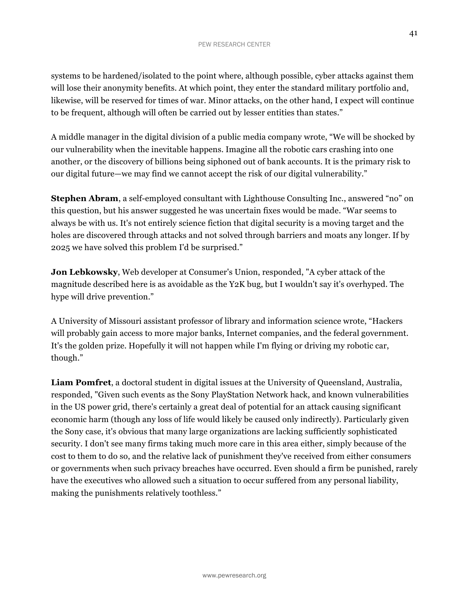systems to be hardened/isolated to the point where, although possible, cyber attacks against them will lose their anonymity benefits. At which point, they enter the standard military portfolio and, likewise, will be reserved for times of war. Minor attacks, on the other hand, I expect will continue to be frequent, although will often be carried out by lesser entities than states."

A middle manager in the digital division of a public media company wrote, "We will be shocked by our vulnerability when the inevitable happens. Imagine all the robotic cars crashing into one another, or the discovery of billions being siphoned out of bank accounts. It is the primary risk to our digital future—we may find we cannot accept the risk of our digital vulnerability."

**Stephen Abram**, a self-employed consultant with Lighthouse Consulting Inc., answered "no" on this question, but his answer suggested he was uncertain fixes would be made. "War seems to always be with us. It's not entirely science fiction that digital security is a moving target and the holes are discovered through attacks and not solved through barriers and moats any longer. If by 2025 we have solved this problem I'd be surprised."

**Jon Lebkowsky**, Web developer at Consumer's Union, responded, "A cyber attack of the magnitude described here is as avoidable as the Y2K bug, but I wouldn't say it's overhyped. The hype will drive prevention."

A University of Missouri assistant professor of library and information science wrote, "Hackers will probably gain access to more major banks, Internet companies, and the federal government. It's the golden prize. Hopefully it will not happen while I'm flying or driving my robotic car, though."

**Liam Pomfret**, a doctoral student in digital issues at the University of Queensland, Australia, responded, "Given such events as the Sony PlayStation Network hack, and known vulnerabilities in the US power grid, there's certainly a great deal of potential for an attack causing significant economic harm (though any loss of life would likely be caused only indirectly). Particularly given the Sony case, it's obvious that many large organizations are lacking sufficiently sophisticated security. I don't see many firms taking much more care in this area either, simply because of the cost to them to do so, and the relative lack of punishment they've received from either consumers or governments when such privacy breaches have occurred. Even should a firm be punished, rarely have the executives who allowed such a situation to occur suffered from any personal liability, making the punishments relatively toothless."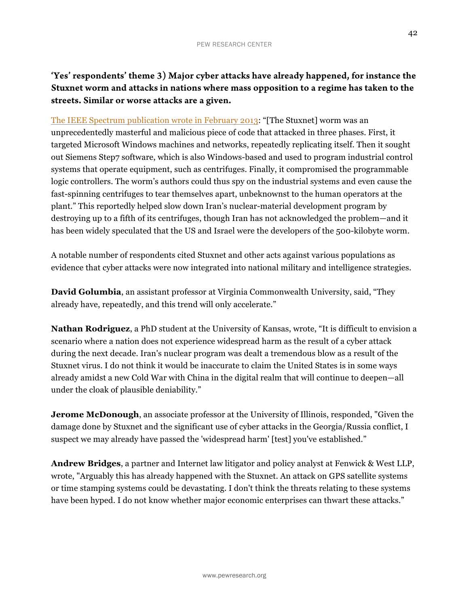# 'Yes' respondents' theme 3) Major cyber attacks have already happened, for instance the Stuxnet worm and attacks in nations where mass opposition to a regime has taken to the streets. Similar or worse attacks are a given.

The IEEE Spectrum publication wrote in February 2013: "[The Stuxnet] worm was an unprecedentedly masterful and malicious piece of code that attacked in three phases. First, it targeted Microsoft Windows machines and networks, repeatedly replicating itself. Then it sought out Siemens Step7 software, which is also Windows-based and used to program industrial control systems that operate equipment, such as centrifuges. Finally, it compromised the programmable logic controllers. The worm's authors could thus spy on the industrial systems and even cause the fast-spinning centrifuges to tear themselves apart, unbeknownst to the human operators at the plant." This reportedly helped slow down Iran's nuclear-material development program by destroying up to a fifth of its centrifuges, though Iran has not acknowledged the problem—and it has been widely speculated that the US and Israel were the developers of the 500-kilobyte worm.

A notable number of respondents cited Stuxnet and other acts against various populations as evidence that cyber attacks were now integrated into national military and intelligence strategies.

**David Golumbia**, an assistant professor at Virginia Commonwealth University, said, "They already have, repeatedly, and this trend will only accelerate."

**Nathan Rodriguez**, a PhD student at the University of Kansas, wrote, "It is difficult to envision a scenario where a nation does not experience widespread harm as the result of a cyber attack during the next decade. Iran's nuclear program was dealt a tremendous blow as a result of the Stuxnet virus. I do not think it would be inaccurate to claim the United States is in some ways already amidst a new Cold War with China in the digital realm that will continue to deepen—all under the cloak of plausible deniability."

**Jerome McDonough**, an associate professor at the University of Illinois, responded, "Given the damage done by Stuxnet and the significant use of cyber attacks in the Georgia/Russia conflict, I suspect we may already have passed the 'widespread harm' [test] you've established."

**Andrew Bridges**, a partner and Internet law litigator and policy analyst at Fenwick & West LLP, wrote, "Arguably this has already happened with the Stuxnet. An attack on GPS satellite systems or time stamping systems could be devastating. I don't think the threats relating to these systems have been hyped. I do not know whether major economic enterprises can thwart these attacks."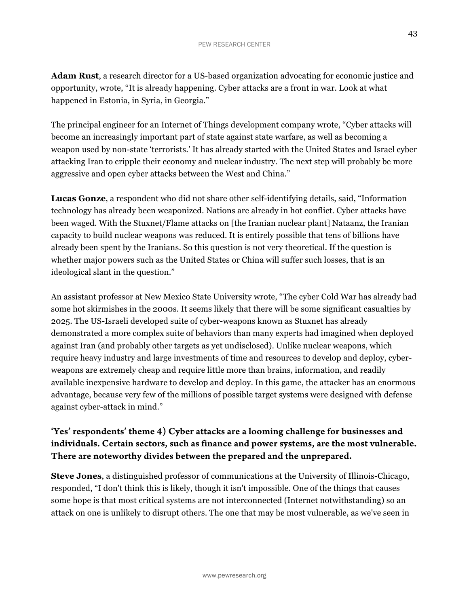**Adam Rust**, a research director for a US-based organization advocating for economic justice and opportunity, wrote, "It is already happening. Cyber attacks are a front in war. Look at what happened in Estonia, in Syria, in Georgia."

The principal engineer for an Internet of Things development company wrote, "Cyber attacks will become an increasingly important part of state against state warfare, as well as becoming a weapon used by non-state 'terrorists.' It has already started with the United States and Israel cyber attacking Iran to cripple their economy and nuclear industry. The next step will probably be more aggressive and open cyber attacks between the West and China."

**Lucas Gonze**, a respondent who did not share other self-identifying details, said, "Information technology has already been weaponized. Nations are already in hot conflict. Cyber attacks have been waged. With the Stuxnet/Flame attacks on [the Iranian nuclear plant] Nataanz, the Iranian capacity to build nuclear weapons was reduced. It is entirely possible that tens of billions have already been spent by the Iranians. So this question is not very theoretical. If the question is whether major powers such as the United States or China will suffer such losses, that is an ideological slant in the question."

An assistant professor at New Mexico State University wrote, "The cyber Cold War has already had some hot skirmishes in the 2000s. It seems likely that there will be some significant casualties by 2025. The US-Israeli developed suite of cyber-weapons known as Stuxnet has already demonstrated a more complex suite of behaviors than many experts had imagined when deployed against Iran (and probably other targets as yet undisclosed). Unlike nuclear weapons, which require heavy industry and large investments of time and resources to develop and deploy, cyberweapons are extremely cheap and require little more than brains, information, and readily available inexpensive hardware to develop and deploy. In this game, the attacker has an enormous advantage, because very few of the millions of possible target systems were designed with defense against cyber-attack in mind."

# 'Yes' respondents' theme 4) Cyber attacks are a looming challenge for businesses and individuals. Certain sectors, such as finance and power systems, are the most vulnerable. There are noteworthy divides between the prepared and the unprepared.

**Steve Jones**, a distinguished professor of communications at the University of Illinois-Chicago, responded, "I don't think this is likely, though it isn't impossible. One of the things that causes some hope is that most critical systems are not interconnected (Internet notwithstanding) so an attack on one is unlikely to disrupt others. The one that may be most vulnerable, as we've seen in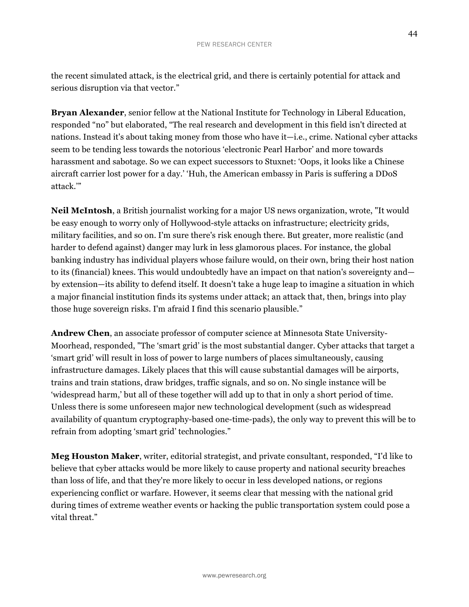the recent simulated attack, is the electrical grid, and there is certainly potential for attack and serious disruption via that vector."

**Bryan Alexander**, senior fellow at the National Institute for Technology in Liberal Education, responded "no" but elaborated, "The real research and development in this field isn't directed at nations. Instead it's about taking money from those who have it—i.e., crime. National cyber attacks seem to be tending less towards the notorious 'electronic Pearl Harbor' and more towards harassment and sabotage. So we can expect successors to Stuxnet: 'Oops, it looks like a Chinese aircraft carrier lost power for a day.' 'Huh, the American embassy in Paris is suffering a DDoS attack.'"

**Neil McIntosh**, a British journalist working for a major US news organization, wrote, "It would be easy enough to worry only of Hollywood-style attacks on infrastructure; electricity grids, military facilities, and so on. I'm sure there's risk enough there. But greater, more realistic (and harder to defend against) danger may lurk in less glamorous places. For instance, the global banking industry has individual players whose failure would, on their own, bring their host nation to its (financial) knees. This would undoubtedly have an impact on that nation's sovereignty and by extension—its ability to defend itself. It doesn't take a huge leap to imagine a situation in which a major financial institution finds its systems under attack; an attack that, then, brings into play those huge sovereign risks. I'm afraid I find this scenario plausible."

**Andrew Chen**, an associate professor of computer science at Minnesota State University-Moorhead, responded, "The 'smart grid' is the most substantial danger. Cyber attacks that target a 'smart grid' will result in loss of power to large numbers of places simultaneously, causing infrastructure damages. Likely places that this will cause substantial damages will be airports, trains and train stations, draw bridges, traffic signals, and so on. No single instance will be 'widespread harm,' but all of these together will add up to that in only a short period of time. Unless there is some unforeseen major new technological development (such as widespread availability of quantum cryptography-based one-time-pads), the only way to prevent this will be to refrain from adopting 'smart grid' technologies."

**Meg Houston Maker**, writer, editorial strategist, and private consultant, responded, "I'd like to believe that cyber attacks would be more likely to cause property and national security breaches than loss of life, and that they're more likely to occur in less developed nations, or regions experiencing conflict or warfare. However, it seems clear that messing with the national grid during times of extreme weather events or hacking the public transportation system could pose a vital threat."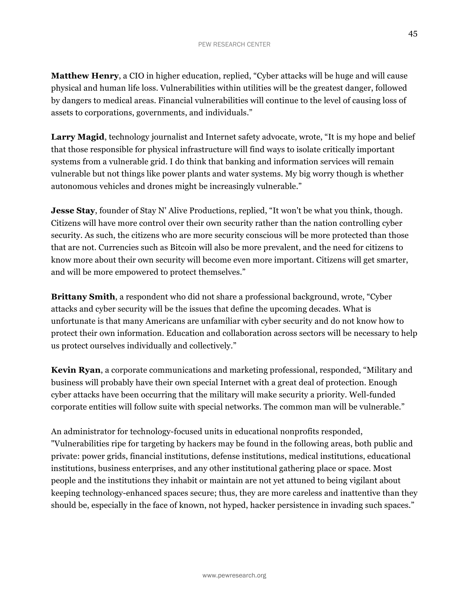**Matthew Henry**, a CIO in higher education, replied, "Cyber attacks will be huge and will cause physical and human life loss. Vulnerabilities within utilities will be the greatest danger, followed by dangers to medical areas. Financial vulnerabilities will continue to the level of causing loss of assets to corporations, governments, and individuals."

**Larry Magid**, technology journalist and Internet safety advocate, wrote, "It is my hope and belief that those responsible for physical infrastructure will find ways to isolate critically important systems from a vulnerable grid. I do think that banking and information services will remain vulnerable but not things like power plants and water systems. My big worry though is whether autonomous vehicles and drones might be increasingly vulnerable."

**Jesse Stay**, founder of Stay N' Alive Productions, replied, "It won't be what you think, though. Citizens will have more control over their own security rather than the nation controlling cyber security. As such, the citizens who are more security conscious will be more protected than those that are not. Currencies such as Bitcoin will also be more prevalent, and the need for citizens to know more about their own security will become even more important. Citizens will get smarter, and will be more empowered to protect themselves."

**Brittany Smith**, a respondent who did not share a professional background, wrote, "Cyber attacks and cyber security will be the issues that define the upcoming decades. What is unfortunate is that many Americans are unfamiliar with cyber security and do not know how to protect their own information. Education and collaboration across sectors will be necessary to help us protect ourselves individually and collectively."

**Kevin Ryan**, a corporate communications and marketing professional, responded, "Military and business will probably have their own special Internet with a great deal of protection. Enough cyber attacks have been occurring that the military will make security a priority. Well-funded corporate entities will follow suite with special networks. The common man will be vulnerable."

An administrator for technology-focused units in educational nonprofits responded, "Vulnerabilities ripe for targeting by hackers may be found in the following areas, both public and private: power grids, financial institutions, defense institutions, medical institutions, educational institutions, business enterprises, and any other institutional gathering place or space. Most people and the institutions they inhabit or maintain are not yet attuned to being vigilant about keeping technology-enhanced spaces secure; thus, they are more careless and inattentive than they should be, especially in the face of known, not hyped, hacker persistence in invading such spaces."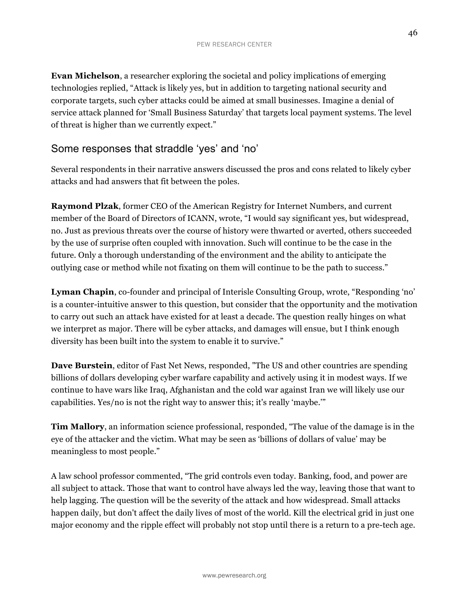**Evan Michelson**, a researcher exploring the societal and policy implications of emerging technologies replied, "Attack is likely yes, but in addition to targeting national security and corporate targets, such cyber attacks could be aimed at small businesses. Imagine a denial of service attack planned for 'Small Business Saturday' that targets local payment systems. The level of threat is higher than we currently expect."

# Some responses that straddle 'yes' and 'no'

Several respondents in their narrative answers discussed the pros and cons related to likely cyber attacks and had answers that fit between the poles.

**Raymond Plzak**, former CEO of the American Registry for Internet Numbers, and current member of the Board of Directors of ICANN, wrote, "I would say significant yes, but widespread, no. Just as previous threats over the course of history were thwarted or averted, others succeeded by the use of surprise often coupled with innovation. Such will continue to be the case in the future. Only a thorough understanding of the environment and the ability to anticipate the outlying case or method while not fixating on them will continue to be the path to success."

**Lyman Chapin**, co-founder and principal of Interisle Consulting Group, wrote, "Responding 'no' is a counter-intuitive answer to this question, but consider that the opportunity and the motivation to carry out such an attack have existed for at least a decade. The question really hinges on what we interpret as major. There will be cyber attacks, and damages will ensue, but I think enough diversity has been built into the system to enable it to survive."

**Dave Burstein**, editor of Fast Net News, responded, "The US and other countries are spending billions of dollars developing cyber warfare capability and actively using it in modest ways. If we continue to have wars like Iraq, Afghanistan and the cold war against Iran we will likely use our capabilities. Yes/no is not the right way to answer this; it's really 'maybe.'"

**Tim Mallory**, an information science professional, responded, "The value of the damage is in the eye of the attacker and the victim. What may be seen as 'billions of dollars of value' may be meaningless to most people."

A law school professor commented, "The grid controls even today. Banking, food, and power are all subject to attack. Those that want to control have always led the way, leaving those that want to help lagging. The question will be the severity of the attack and how widespread. Small attacks happen daily, but don't affect the daily lives of most of the world. Kill the electrical grid in just one major economy and the ripple effect will probably not stop until there is a return to a pre-tech age.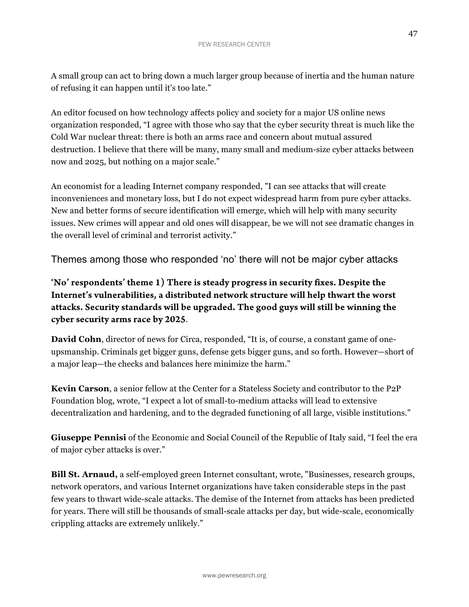A small group can act to bring down a much larger group because of inertia and the human nature of refusing it can happen until it's too late."

An editor focused on how technology affects policy and society for a major US online news organization responded, "I agree with those who say that the cyber security threat is much like the Cold War nuclear threat: there is both an arms race and concern about mutual assured destruction. I believe that there will be many, many small and medium-size cyber attacks between now and 2025, but nothing on a major scale."

An economist for a leading Internet company responded, "I can see attacks that will create inconveniences and monetary loss, but I do not expect widespread harm from pure cyber attacks. New and better forms of secure identification will emerge, which will help with many security issues. New crimes will appear and old ones will disappear, be we will not see dramatic changes in the overall level of criminal and terrorist activity."

Themes among those who responded 'no' there will not be major cyber attacks

'No' respondents' theme 1) There is steady progress in security fixes. Despite the Internet's vulnerabilities, a distributed network structure will help thwart the worst attacks. Security standards will be upgraded. The good guys will still be winning the cyber security arms race by 2025.

**David Cohn**, director of news for Circa, responded, "It is, of course, a constant game of oneupsmanship. Criminals get bigger guns, defense gets bigger guns, and so forth. However—short of a major leap—the checks and balances here minimize the harm."

**Kevin Carson**, a senior fellow at the Center for a Stateless Society and contributor to the P2P Foundation blog, wrote, "I expect a lot of small-to-medium attacks will lead to extensive decentralization and hardening, and to the degraded functioning of all large, visible institutions."

**Giuseppe Pennisi** of the Economic and Social Council of the Republic of Italy said, "I feel the era of major cyber attacks is over."

**Bill St. Arnaud,** a self-employed green Internet consultant, wrote, "Businesses, research groups, network operators, and various Internet organizations have taken considerable steps in the past few years to thwart wide-scale attacks. The demise of the Internet from attacks has been predicted for years. There will still be thousands of small-scale attacks per day, but wide-scale, economically crippling attacks are extremely unlikely."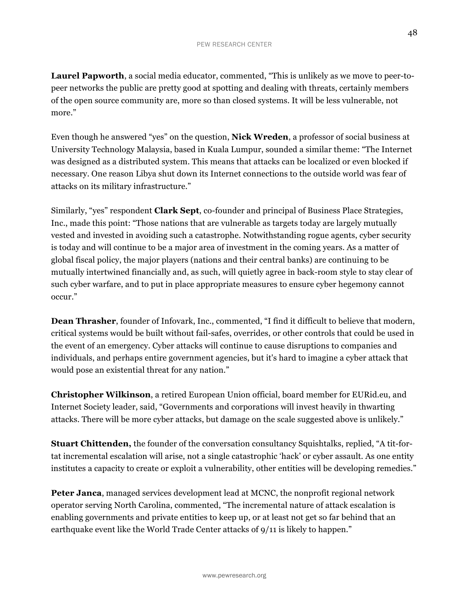**Laurel Papworth**, a social media educator, commented, "This is unlikely as we move to peer-topeer networks the public are pretty good at spotting and dealing with threats, certainly members of the open source community are, more so than closed systems. It will be less vulnerable, not more."

Even though he answered "yes" on the question, **Nick Wreden**, a professor of social business at University Technology Malaysia, based in Kuala Lumpur, sounded a similar theme: "The Internet was designed as a distributed system. This means that attacks can be localized or even blocked if necessary. One reason Libya shut down its Internet connections to the outside world was fear of attacks on its military infrastructure."

Similarly, "yes" respondent **Clark Sept**, co-founder and principal of Business Place Strategies, Inc., made this point: "Those nations that are vulnerable as targets today are largely mutually vested and invested in avoiding such a catastrophe. Notwithstanding rogue agents, cyber security is today and will continue to be a major area of investment in the coming years. As a matter of global fiscal policy, the major players (nations and their central banks) are continuing to be mutually intertwined financially and, as such, will quietly agree in back-room style to stay clear of such cyber warfare, and to put in place appropriate measures to ensure cyber hegemony cannot occur."

**Dean Thrasher**, founder of Infovark, Inc., commented, "I find it difficult to believe that modern, critical systems would be built without fail-safes, overrides, or other controls that could be used in the event of an emergency. Cyber attacks will continue to cause disruptions to companies and individuals, and perhaps entire government agencies, but it's hard to imagine a cyber attack that would pose an existential threat for any nation."

**Christopher Wilkinson**, a retired European Union official, board member for EURid.eu, and Internet Society leader, said, "Governments and corporations will invest heavily in thwarting attacks. There will be more cyber attacks, but damage on the scale suggested above is unlikely."

**Stuart Chittenden,** the founder of the conversation consultancy Squishtalks, replied, "A tit-fortat incremental escalation will arise, not a single catastrophic 'hack' or cyber assault. As one entity institutes a capacity to create or exploit a vulnerability, other entities will be developing remedies."

**Peter Janca**, managed services development lead at MCNC, the nonprofit regional network operator serving North Carolina, commented, "The incremental nature of attack escalation is enabling governments and private entities to keep up, or at least not get so far behind that an earthquake event like the World Trade Center attacks of 9/11 is likely to happen."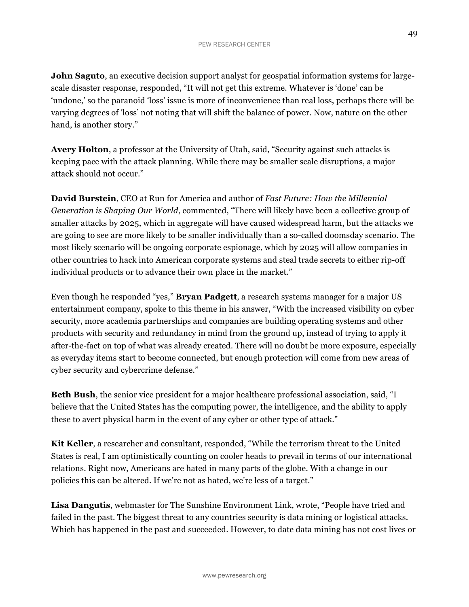**John Saguto**, an executive decision support analyst for geospatial information systems for largescale disaster response, responded, "It will not get this extreme. Whatever is 'done' can be 'undone,' so the paranoid 'loss' issue is more of inconvenience than real loss, perhaps there will be varying degrees of 'loss' not noting that will shift the balance of power. Now, nature on the other hand, is another story."

**Avery Holton**, a professor at the University of Utah, said, "Security against such attacks is keeping pace with the attack planning. While there may be smaller scale disruptions, a major attack should not occur."

**David Burstein**, CEO at Run for America and author of *Fast Future: How the Millennial Generation is Shaping Our World*, commented, "There will likely have been a collective group of smaller attacks by 2025, which in aggregate will have caused widespread harm, but the attacks we are going to see are more likely to be smaller individually than a so-called doomsday scenario. The most likely scenario will be ongoing corporate espionage, which by 2025 will allow companies in other countries to hack into American corporate systems and steal trade secrets to either rip-off individual products or to advance their own place in the market."

Even though he responded "yes," **Bryan Padgett**, a research systems manager for a major US entertainment company, spoke to this theme in his answer, "With the increased visibility on cyber security, more academia partnerships and companies are building operating systems and other products with security and redundancy in mind from the ground up, instead of trying to apply it after-the-fact on top of what was already created. There will no doubt be more exposure, especially as everyday items start to become connected, but enough protection will come from new areas of cyber security and cybercrime defense."

**Beth Bush**, the senior vice president for a major healthcare professional association, said, "I believe that the United States has the computing power, the intelligence, and the ability to apply these to avert physical harm in the event of any cyber or other type of attack."

**Kit Keller**, a researcher and consultant, responded, "While the terrorism threat to the United States is real, I am optimistically counting on cooler heads to prevail in terms of our international relations. Right now, Americans are hated in many parts of the globe. With a change in our policies this can be altered. If we're not as hated, we're less of a target."

**Lisa Dangutis**, webmaster for The Sunshine Environment Link, wrote, "People have tried and failed in the past. The biggest threat to any countries security is data mining or logistical attacks. Which has happened in the past and succeeded. However, to date data mining has not cost lives or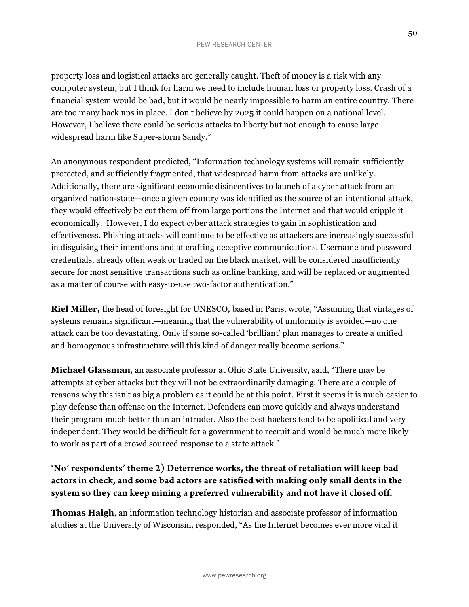property loss and logistical attacks are generally caught. Theft of money is a risk with any computer system, but I think for harm we need to include human loss or property loss. Crash of a financial system would be bad, but it would be nearly impossible to harm an entire country. There are too many back ups in place. I don't believe by 2025 it could happen on a national level. However, I believe there could be serious attacks to liberty but not enough to cause large widespread harm like Super-storm Sandy."

An anonymous respondent predicted, "Information technology systems will remain sufficiently protected, and sufficiently fragmented, that widespread harm from attacks are unlikely. Additionally, there are significant economic disincentives to launch of a cyber attack from an organized nation-state—once a given country was identified as the source of an intentional attack, they would effectively be cut them off from large portions the Internet and that would cripple it economically. However, I do expect cyber attack strategies to gain in sophistication and effectiveness. Phishing attacks will continue to be effective as attackers are increasingly successful in disguising their intentions and at crafting deceptive communications. Username and password credentials, already often weak or traded on the black market, will be considered insufficiently secure for most sensitive transactions such as online banking, and will be replaced or augmented as a matter of course with easy-to-use two-factor authentication."

**Riel Miller,** the head of foresight for UNESCO, based in Paris, wrote, "Assuming that vintages of systems remains significant—meaning that the vulnerability of uniformity is avoided—no one attack can be too devastating. Only if some so-called 'brilliant' plan manages to create a unified and homogenous infrastructure will this kind of danger really become serious."

**Michael Glassman**, an associate professor at Ohio State University, said, "There may be attempts at cyber attacks but they will not be extraordinarily damaging. There are a couple of reasons why this isn't as big a problem as it could be at this point. First it seems it is much easier to play defense than offense on the Internet. Defenders can move quickly and always understand their program much better than an intruder. Also the best hackers tend to be apolitical and very independent. They would be difficult for a government to recruit and would be much more likely to work as part of a crowd sourced response to a state attack."

# 'No' respondents' theme 2) Deterrence works, the threat of retaliation will keep bad actors in check, and some bad actors are satisfied with making only small dents in the system so they can keep mining a preferred vulnerability and not have it closed off.

**Thomas Haigh**, an information technology historian and associate professor of information studies at the University of Wisconsin, responded, "As the Internet becomes ever more vital it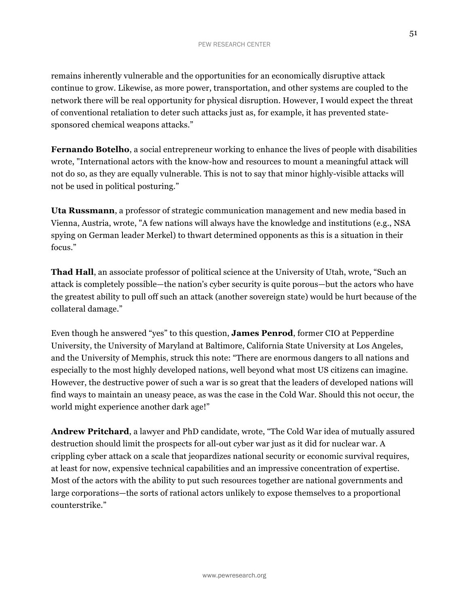remains inherently vulnerable and the opportunities for an economically disruptive attack continue to grow. Likewise, as more power, transportation, and other systems are coupled to the network there will be real opportunity for physical disruption. However, I would expect the threat of conventional retaliation to deter such attacks just as, for example, it has prevented statesponsored chemical weapons attacks."

PEW RESEARCH CENTER

**Fernando Botelho**, a social entrepreneur working to enhance the lives of people with disabilities wrote, "International actors with the know-how and resources to mount a meaningful attack will not do so, as they are equally vulnerable. This is not to say that minor highly-visible attacks will not be used in political posturing."

**Uta Russmann**, a professor of strategic communication management and new media based in Vienna, Austria, wrote, "A few nations will always have the knowledge and institutions (e.g., NSA spying on German leader Merkel) to thwart determined opponents as this is a situation in their focus."

**Thad Hall**, an associate professor of political science at the University of Utah, wrote, "Such an attack is completely possible—the nation's cyber security is quite porous—but the actors who have the greatest ability to pull off such an attack (another sovereign state) would be hurt because of the collateral damage."

Even though he answered "yes" to this question, **James Penrod**, former CIO at Pepperdine University, the University of Maryland at Baltimore, California State University at Los Angeles, and the University of Memphis, struck this note: "There are enormous dangers to all nations and especially to the most highly developed nations, well beyond what most US citizens can imagine. However, the destructive power of such a war is so great that the leaders of developed nations will find ways to maintain an uneasy peace, as was the case in the Cold War. Should this not occur, the world might experience another dark age!"

**Andrew Pritchard**, a lawyer and PhD candidate, wrote, "The Cold War idea of mutually assured destruction should limit the prospects for all-out cyber war just as it did for nuclear war. A crippling cyber attack on a scale that jeopardizes national security or economic survival requires, at least for now, expensive technical capabilities and an impressive concentration of expertise. Most of the actors with the ability to put such resources together are national governments and large corporations—the sorts of rational actors unlikely to expose themselves to a proportional counterstrike."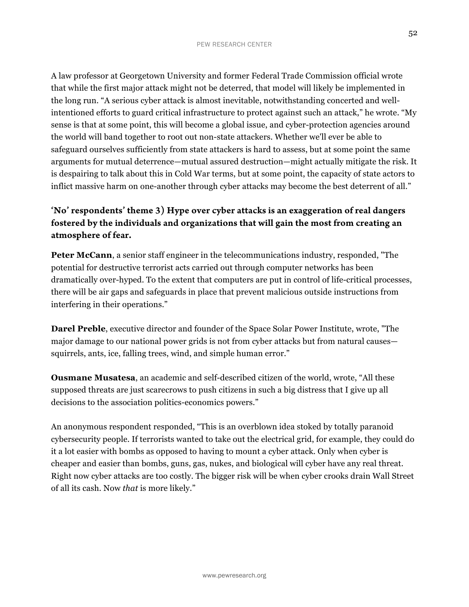A law professor at Georgetown University and former Federal Trade Commission official wrote that while the first major attack might not be deterred, that model will likely be implemented in the long run. "A serious cyber attack is almost inevitable, notwithstanding concerted and wellintentioned efforts to guard critical infrastructure to protect against such an attack," he wrote. "My sense is that at some point, this will become a global issue, and cyber-protection agencies around the world will band together to root out non-state attackers. Whether we'll ever be able to safeguard ourselves sufficiently from state attackers is hard to assess, but at some point the same arguments for mutual deterrence—mutual assured destruction—might actually mitigate the risk. It is despairing to talk about this in Cold War terms, but at some point, the capacity of state actors to inflict massive harm on one-another through cyber attacks may become the best deterrent of all."

# 'No' respondents' theme 3) Hype over cyber attacks is an exaggeration of real dangers fostered by the individuals and organizations that will gain the most from creating an atmosphere of fear.

**Peter McCann**, a senior staff engineer in the telecommunications industry, responded, "The potential for destructive terrorist acts carried out through computer networks has been dramatically over-hyped. To the extent that computers are put in control of life-critical processes, there will be air gaps and safeguards in place that prevent malicious outside instructions from interfering in their operations."

**Darel Preble**, executive director and founder of the Space Solar Power Institute, wrote, "The major damage to our national power grids is not from cyber attacks but from natural causes squirrels, ants, ice, falling trees, wind, and simple human error."

**Ousmane Musatesa**, an academic and self-described citizen of the world, wrote, "All these supposed threats are just scarecrows to push citizens in such a big distress that I give up all decisions to the association politics-economics powers."

An anonymous respondent responded, "This is an overblown idea stoked by totally paranoid cybersecurity people. If terrorists wanted to take out the electrical grid, for example, they could do it a lot easier with bombs as opposed to having to mount a cyber attack. Only when cyber is cheaper and easier than bombs, guns, gas, nukes, and biological will cyber have any real threat. Right now cyber attacks are too costly. The bigger risk will be when cyber crooks drain Wall Street of all its cash. Now *that* is more likely."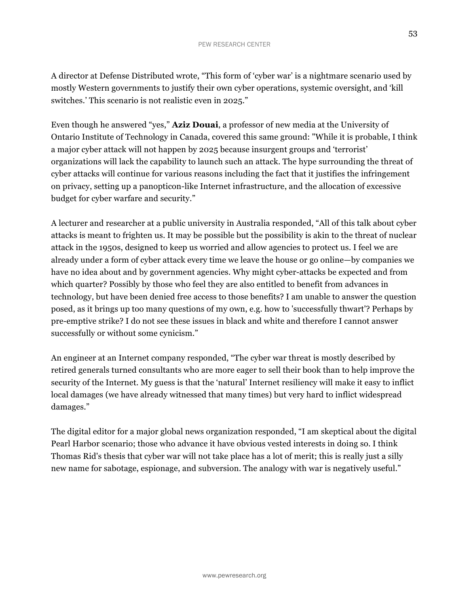A director at Defense Distributed wrote, "This form of 'cyber war' is a nightmare scenario used by mostly Western governments to justify their own cyber operations, systemic oversight, and 'kill switches.' This scenario is not realistic even in 2025."

Even though he answered "yes," **Aziz Douai**, a professor of new media at the University of Ontario Institute of Technology in Canada, covered this same ground: "While it is probable, I think a major cyber attack will not happen by 2025 because insurgent groups and 'terrorist' organizations will lack the capability to launch such an attack. The hype surrounding the threat of cyber attacks will continue for various reasons including the fact that it justifies the infringement on privacy, setting up a panopticon-like Internet infrastructure, and the allocation of excessive budget for cyber warfare and security."

A lecturer and researcher at a public university in Australia responded, "All of this talk about cyber attacks is meant to frighten us. It may be possible but the possibility is akin to the threat of nuclear attack in the 1950s, designed to keep us worried and allow agencies to protect us. I feel we are already under a form of cyber attack every time we leave the house or go online—by companies we have no idea about and by government agencies. Why might cyber-attacks be expected and from which quarter? Possibly by those who feel they are also entitled to benefit from advances in technology, but have been denied free access to those benefits? I am unable to answer the question posed, as it brings up too many questions of my own, e.g. how to 'successfully thwart'? Perhaps by pre-emptive strike? I do not see these issues in black and white and therefore I cannot answer successfully or without some cynicism."

An engineer at an Internet company responded, "The cyber war threat is mostly described by retired generals turned consultants who are more eager to sell their book than to help improve the security of the Internet. My guess is that the 'natural' Internet resiliency will make it easy to inflict local damages (we have already witnessed that many times) but very hard to inflict widespread damages."

The digital editor for a major global news organization responded, "I am skeptical about the digital Pearl Harbor scenario; those who advance it have obvious vested interests in doing so. I think Thomas Rid's thesis that cyber war will not take place has a lot of merit; this is really just a silly new name for sabotage, espionage, and subversion. The analogy with war is negatively useful."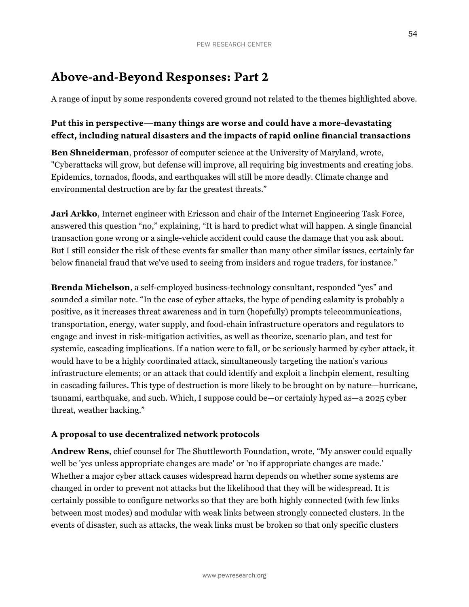# Above-and-Beyond Responses: Part 2

A range of input by some respondents covered ground not related to the themes highlighted above.

# Put this in perspective—many things are worse and could have a more-devastating effect, including natural disasters and the impacts of rapid online financial transactions

**Ben Shneiderman**, professor of computer science at the University of Maryland, wrote, "Cyberattacks will grow, but defense will improve, all requiring big investments and creating jobs. Epidemics, tornados, floods, and earthquakes will still be more deadly. Climate change and environmental destruction are by far the greatest threats."

**Jari Arkko**, Internet engineer with Ericsson and chair of the Internet Engineering Task Force, answered this question "no," explaining, "It is hard to predict what will happen. A single financial transaction gone wrong or a single-vehicle accident could cause the damage that you ask about. But I still consider the risk of these events far smaller than many other similar issues, certainly far below financial fraud that we've used to seeing from insiders and rogue traders, for instance."

**Brenda Michelson**, a self-employed business-technology consultant, responded "yes" and sounded a similar note. "In the case of cyber attacks, the hype of pending calamity is probably a positive, as it increases threat awareness and in turn (hopefully) prompts telecommunications, transportation, energy, water supply, and food-chain infrastructure operators and regulators to engage and invest in risk-mitigation activities, as well as theorize, scenario plan, and test for systemic, cascading implications. If a nation were to fall, or be seriously harmed by cyber attack, it would have to be a highly coordinated attack, simultaneously targeting the nation's various infrastructure elements; or an attack that could identify and exploit a linchpin element, resulting in cascading failures. This type of destruction is more likely to be brought on by nature—hurricane, tsunami, earthquake, and such. Which, I suppose could be—or certainly hyped as—a 2025 cyber threat, weather hacking."

### A proposal to use decentralized network protocols

**Andrew Rens**, chief counsel for The Shuttleworth Foundation, wrote, "My answer could equally well be 'yes unless appropriate changes are made' or 'no if appropriate changes are made.' Whether a major cyber attack causes widespread harm depends on whether some systems are changed in order to prevent not attacks but the likelihood that they will be widespread. It is certainly possible to configure networks so that they are both highly connected (with few links between most modes) and modular with weak links between strongly connected clusters. In the events of disaster, such as attacks, the weak links must be broken so that only specific clusters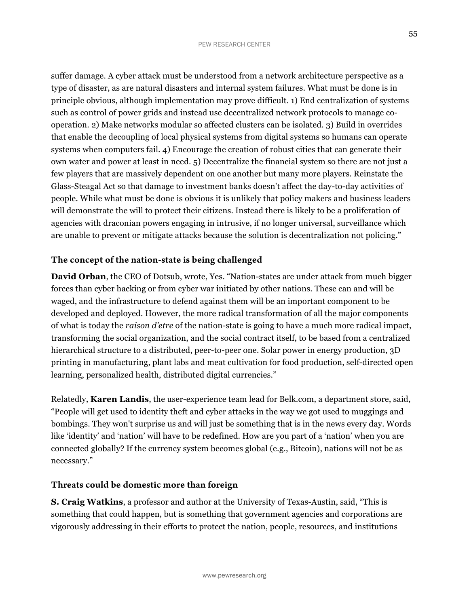suffer damage. A cyber attack must be understood from a network architecture perspective as a type of disaster, as are natural disasters and internal system failures. What must be done is in principle obvious, although implementation may prove difficult. 1) End centralization of systems such as control of power grids and instead use decentralized network protocols to manage cooperation. 2) Make networks modular so affected clusters can be isolated. 3) Build in overrides that enable the decoupling of local physical systems from digital systems so humans can operate systems when computers fail. 4) Encourage the creation of robust cities that can generate their own water and power at least in need. 5) Decentralize the financial system so there are not just a few players that are massively dependent on one another but many more players. Reinstate the Glass-Steagal Act so that damage to investment banks doesn't affect the day-to-day activities of people. While what must be done is obvious it is unlikely that policy makers and business leaders will demonstrate the will to protect their citizens. Instead there is likely to be a proliferation of agencies with draconian powers engaging in intrusive, if no longer universal, surveillance which are unable to prevent or mitigate attacks because the solution is decentralization not policing."

### The concept of the nation-state is being challenged

**David Orban**, the CEO of Dotsub, wrote, Yes. "Nation-states are under attack from much bigger forces than cyber hacking or from cyber war initiated by other nations. These can and will be waged, and the infrastructure to defend against them will be an important component to be developed and deployed. However, the more radical transformation of all the major components of what is today the *raison d'etre* of the nation-state is going to have a much more radical impact, transforming the social organization, and the social contract itself, to be based from a centralized hierarchical structure to a distributed, peer-to-peer one. Solar power in energy production, 3D printing in manufacturing, plant labs and meat cultivation for food production, self-directed open learning, personalized health, distributed digital currencies."

Relatedly, **Karen Landis**, the user-experience team lead for Belk.com, a department store, said, "People will get used to identity theft and cyber attacks in the way we got used to muggings and bombings. They won't surprise us and will just be something that is in the news every day. Words like 'identity' and 'nation' will have to be redefined. How are you part of a 'nation' when you are connected globally? If the currency system becomes global (e.g., Bitcoin), nations will not be as necessary."

### Threats could be domestic more than foreign

**S. Craig Watkins**, a professor and author at the University of Texas-Austin, said, "This is something that could happen, but is something that government agencies and corporations are vigorously addressing in their efforts to protect the nation, people, resources, and institutions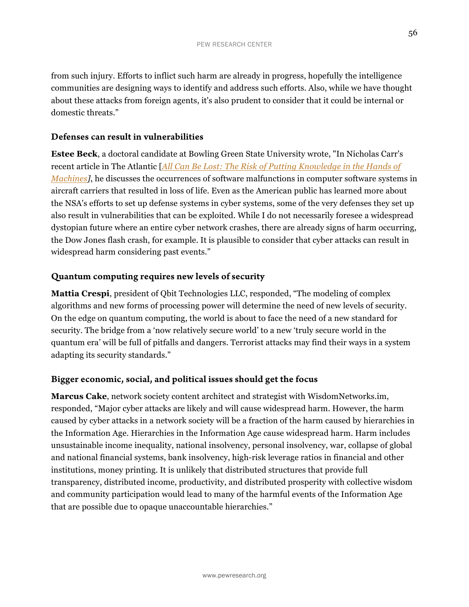from such injury. Efforts to inflict such harm are already in progress, hopefully the intelligence communities are designing ways to identify and address such efforts. Also, while we have thought about these attacks from foreign agents, it's also prudent to consider that it could be internal or domestic threats."

### Defenses can result in vulnerabilities

**Estee Beck**, a doctoral candidate at Bowling Green State University wrote, "In Nicholas Carr's recent article in The Atlantic [*All Can Be Lost: The Risk of Putting Knowledge in the Hands of Machines]*, he discusses the occurrences of software malfunctions in computer software systems in aircraft carriers that resulted in loss of life. Even as the American public has learned more about the NSA's efforts to set up defense systems in cyber systems, some of the very defenses they set up also result in vulnerabilities that can be exploited. While I do not necessarily foresee a widespread dystopian future where an entire cyber network crashes, there are already signs of harm occurring, the Dow Jones flash crash, for example. It is plausible to consider that cyber attacks can result in widespread harm considering past events."

### Quantum computing requires new levels of security

**Mattia Crespi**, president of Qbit Technologies LLC, responded, "The modeling of complex algorithms and new forms of processing power will determine the need of new levels of security. On the edge on quantum computing, the world is about to face the need of a new standard for security. The bridge from a 'now relatively secure world' to a new 'truly secure world in the quantum era' will be full of pitfalls and dangers. Terrorist attacks may find their ways in a system adapting its security standards."

### Bigger economic, social, and political issues should get the focus

**Marcus Cake**, network society content architect and strategist with WisdomNetworks.im, responded, "Major cyber attacks are likely and will cause widespread harm. However, the harm caused by cyber attacks in a network society will be a fraction of the harm caused by hierarchies in the Information Age. Hierarchies in the Information Age cause widespread harm. Harm includes unsustainable income inequality, national insolvency, personal insolvency, war, collapse of global and national financial systems, bank insolvency, high-risk leverage ratios in financial and other institutions, money printing. It is unlikely that distributed structures that provide full transparency, distributed income, productivity, and distributed prosperity with collective wisdom and community participation would lead to many of the harmful events of the Information Age that are possible due to opaque unaccountable hierarchies."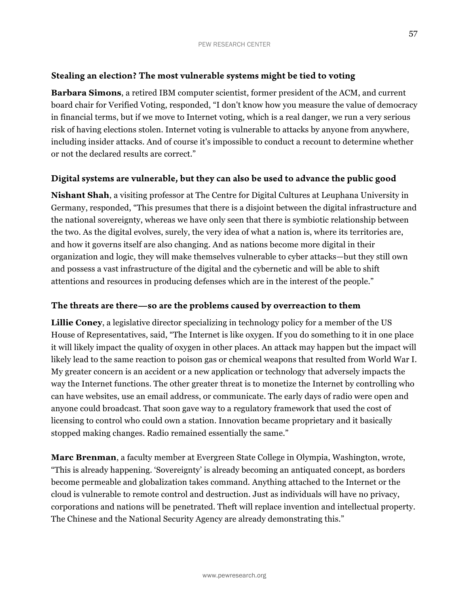### Stealing an election? The most vulnerable systems might be tied to voting

**Barbara Simons**, a retired IBM computer scientist, former president of the ACM, and current board chair for Verified Voting, responded, "I don't know how you measure the value of democracy in financial terms, but if we move to Internet voting, which is a real danger, we run a very serious risk of having elections stolen. Internet voting is vulnerable to attacks by anyone from anywhere, including insider attacks. And of course it's impossible to conduct a recount to determine whether or not the declared results are correct."

### Digital systems are vulnerable, but they can also be used to advance the public good

**Nishant Shah**, a visiting professor at The Centre for Digital Cultures at Leuphana University in Germany, responded, "This presumes that there is a disjoint between the digital infrastructure and the national sovereignty, whereas we have only seen that there is symbiotic relationship between the two. As the digital evolves, surely, the very idea of what a nation is, where its territories are, and how it governs itself are also changing. And as nations become more digital in their organization and logic, they will make themselves vulnerable to cyber attacks—but they still own and possess a vast infrastructure of the digital and the cybernetic and will be able to shift attentions and resources in producing defenses which are in the interest of the people."

### The threats are there—so are the problems caused by overreaction to them

**Lillie Coney**, a legislative director specializing in technology policy for a member of the US House of Representatives, said, "The Internet is like oxygen. If you do something to it in one place it will likely impact the quality of oxygen in other places. An attack may happen but the impact will likely lead to the same reaction to poison gas or chemical weapons that resulted from World War I. My greater concern is an accident or a new application or technology that adversely impacts the way the Internet functions. The other greater threat is to monetize the Internet by controlling who can have websites, use an email address, or communicate. The early days of radio were open and anyone could broadcast. That soon gave way to a regulatory framework that used the cost of licensing to control who could own a station. Innovation became proprietary and it basically stopped making changes. Radio remained essentially the same."

**Marc Brenman**, a faculty member at Evergreen State College in Olympia, Washington, wrote, "This is already happening. 'Sovereignty' is already becoming an antiquated concept, as borders become permeable and globalization takes command. Anything attached to the Internet or the cloud is vulnerable to remote control and destruction. Just as individuals will have no privacy, corporations and nations will be penetrated. Theft will replace invention and intellectual property. The Chinese and the National Security Agency are already demonstrating this."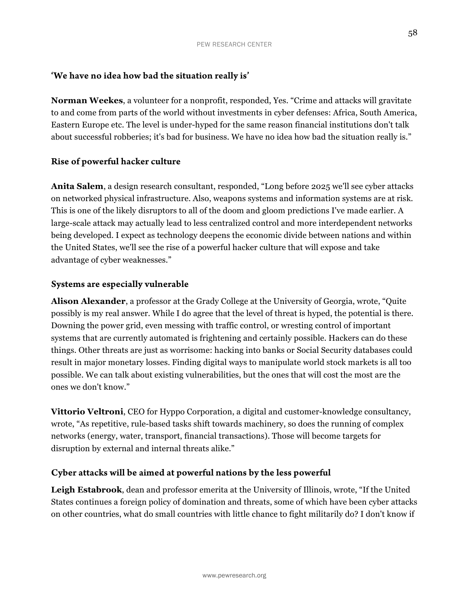### 'We have no idea how bad the situation really is'

**Norman Weekes**, a volunteer for a nonprofit, responded, Yes. "Crime and attacks will gravitate to and come from parts of the world without investments in cyber defenses: Africa, South America, Eastern Europe etc. The level is under-hyped for the same reason financial institutions don't talk about successful robberies; it's bad for business. We have no idea how bad the situation really is."

### Rise of powerful hacker culture

**Anita Salem**, a design research consultant, responded, "Long before 2025 we'll see cyber attacks on networked physical infrastructure. Also, weapons systems and information systems are at risk. This is one of the likely disruptors to all of the doom and gloom predictions I've made earlier. A large-scale attack may actually lead to less centralized control and more interdependent networks being developed. I expect as technology deepens the economic divide between nations and within the United States, we'll see the rise of a powerful hacker culture that will expose and take advantage of cyber weaknesses."

### Systems are especially vulnerable

**Alison Alexander**, a professor at the Grady College at the University of Georgia, wrote, "Quite possibly is my real answer. While I do agree that the level of threat is hyped, the potential is there. Downing the power grid, even messing with traffic control, or wresting control of important systems that are currently automated is frightening and certainly possible. Hackers can do these things. Other threats are just as worrisome: hacking into banks or Social Security databases could result in major monetary losses. Finding digital ways to manipulate world stock markets is all too possible. We can talk about existing vulnerabilities, but the ones that will cost the most are the ones we don't know."

**Vittorio Veltroni**, CEO for Hyppo Corporation, a digital and customer-knowledge consultancy, wrote, "As repetitive, rule-based tasks shift towards machinery, so does the running of complex networks (energy, water, transport, financial transactions). Those will become targets for disruption by external and internal threats alike."

### Cyber attacks will be aimed at powerful nations by the less powerful

**Leigh Estabrook**, dean and professor emerita at the University of Illinois, wrote, "If the United States continues a foreign policy of domination and threats, some of which have been cyber attacks on other countries, what do small countries with little chance to fight militarily do? I don't know if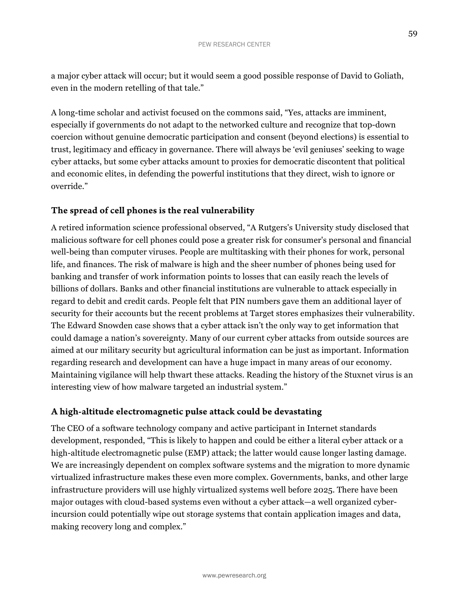a major cyber attack will occur; but it would seem a good possible response of David to Goliath, even in the modern retelling of that tale."

A long-time scholar and activist focused on the commons said, "Yes, attacks are imminent, especially if governments do not adapt to the networked culture and recognize that top-down coercion without genuine democratic participation and consent (beyond elections) is essential to trust, legitimacy and efficacy in governance. There will always be 'evil geniuses' seeking to wage cyber attacks, but some cyber attacks amount to proxies for democratic discontent that political and economic elites, in defending the powerful institutions that they direct, wish to ignore or override."

### The spread of cell phones is the real vulnerability

A retired information science professional observed, "A Rutgers's University study disclosed that malicious software for cell phones could pose a greater risk for consumer's personal and financial well-being than computer viruses. People are multitasking with their phones for work, personal life, and finances. The risk of malware is high and the sheer number of phones being used for banking and transfer of work information points to losses that can easily reach the levels of billions of dollars. Banks and other financial institutions are vulnerable to attack especially in regard to debit and credit cards. People felt that PIN numbers gave them an additional layer of security for their accounts but the recent problems at Target stores emphasizes their vulnerability. The Edward Snowden case shows that a cyber attack isn't the only way to get information that could damage a nation's sovereignty. Many of our current cyber attacks from outside sources are aimed at our military security but agricultural information can be just as important. Information regarding research and development can have a huge impact in many areas of our economy. Maintaining vigilance will help thwart these attacks. Reading the history of the Stuxnet virus is an interesting view of how malware targeted an industrial system."

### A high-altitude electromagnetic pulse attack could be devastating

The CEO of a software technology company and active participant in Internet standards development, responded, "This is likely to happen and could be either a literal cyber attack or a high-altitude electromagnetic pulse (EMP) attack; the latter would cause longer lasting damage. We are increasingly dependent on complex software systems and the migration to more dynamic virtualized infrastructure makes these even more complex. Governments, banks, and other large infrastructure providers will use highly virtualized systems well before 2025. There have been major outages with cloud-based systems even without a cyber attack—a well organized cyberincursion could potentially wipe out storage systems that contain application images and data, making recovery long and complex."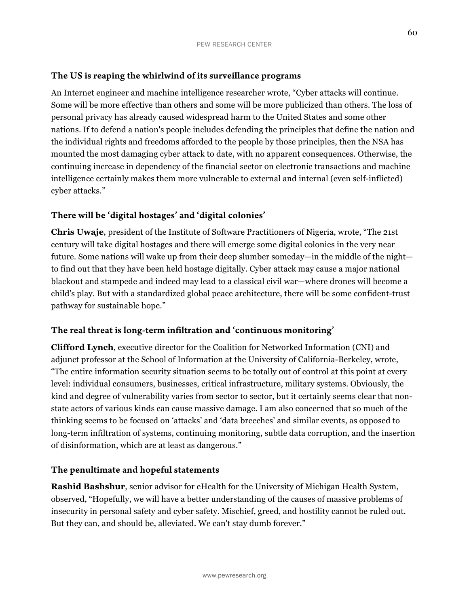### The US is reaping the whirlwind of its surveillance programs

An Internet engineer and machine intelligence researcher wrote, "Cyber attacks will continue. Some will be more effective than others and some will be more publicized than others. The loss of personal privacy has already caused widespread harm to the United States and some other nations. If to defend a nation's people includes defending the principles that define the nation and the individual rights and freedoms afforded to the people by those principles, then the NSA has mounted the most damaging cyber attack to date, with no apparent consequences. Otherwise, the continuing increase in dependency of the financial sector on electronic transactions and machine intelligence certainly makes them more vulnerable to external and internal (even self-inflicted) cyber attacks."

### There will be 'digital hostages' and 'digital colonies'

**Chris Uwaje**, president of the Institute of Software Practitioners of Nigeria, wrote, "The 21st century will take digital hostages and there will emerge some digital colonies in the very near future. Some nations will wake up from their deep slumber someday—in the middle of the night to find out that they have been held hostage digitally. Cyber attack may cause a major national blackout and stampede and indeed may lead to a classical civil war—where drones will become a child's play. But with a standardized global peace architecture, there will be some confident-trust pathway for sustainable hope."

### The real threat is long-term infiltration and 'continuous monitoring'

**Clifford Lynch**, executive director for the Coalition for Networked Information (CNI) and adjunct professor at the School of Information at the University of California-Berkeley, wrote, "The entire information security situation seems to be totally out of control at this point at every level: individual consumers, businesses, critical infrastructure, military systems. Obviously, the kind and degree of vulnerability varies from sector to sector, but it certainly seems clear that nonstate actors of various kinds can cause massive damage. I am also concerned that so much of the thinking seems to be focused on 'attacks' and 'data breeches' and similar events, as opposed to long-term infiltration of systems, continuing monitoring, subtle data corruption, and the insertion of disinformation, which are at least as dangerous."

### The penultimate and hopeful statements

**Rashid Bashshur**, senior advisor for eHealth for the University of Michigan Health System, observed, "Hopefully, we will have a better understanding of the causes of massive problems of insecurity in personal safety and cyber safety. Mischief, greed, and hostility cannot be ruled out. But they can, and should be, alleviated. We can't stay dumb forever."